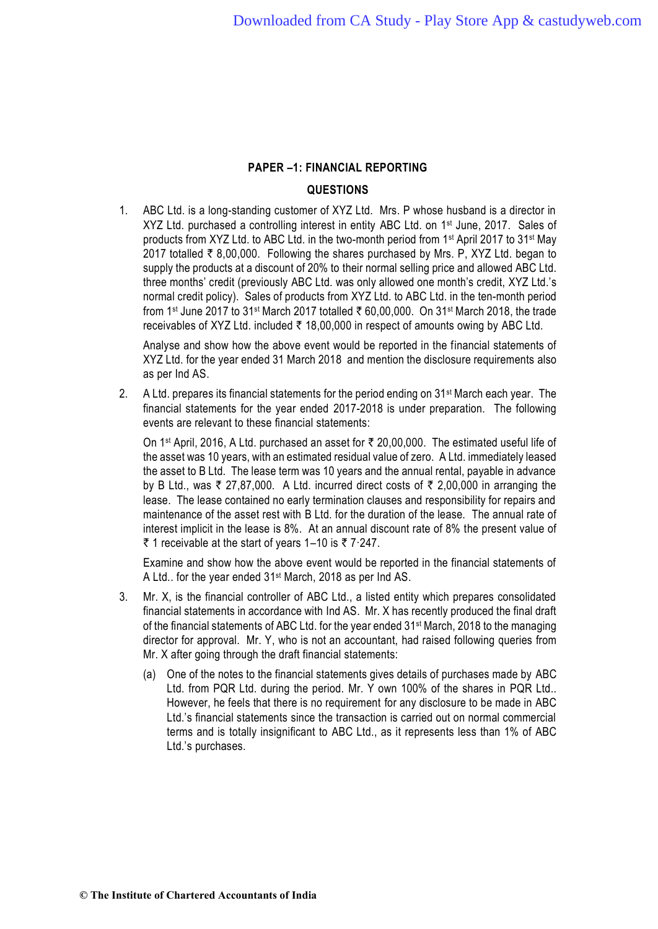### **QUESTIONS**

1. ABC Ltd. is a long-standing customer of XYZ Ltd. Mrs. P whose husband is a director in XYZ Ltd. purchased a controlling interest in entity ABC Ltd. on 1<sup>st</sup> June, 2017. Sales of products from XYZ Ltd. to ABC Ltd. in the two-month period from 1st April 2017 to 31st May 2017 totalled  $\bar{\tau}$  8,00,000. Following the shares purchased by Mrs. P, XYZ Ltd. began to supply the products at a discount of 20% to their normal selling price and allowed ABC Ltd. three months' credit (previously ABC Ltd. was only allowed one month's credit, XYZ Ltd.'s normal credit policy). Sales of products from XYZ Ltd. to ABC Ltd. in the ten-month period from 1<sup>st</sup> June 2017 to 31<sup>st</sup> March 2017 totalled ₹ 60,00,000. On 31<sup>st</sup> March 2018, the trade receivables of XYZ Ltd. included  $\overline{z}$  18,00,000 in respect of amounts owing by ABC Ltd.

Analyse and show how the above event would be reported in the financial statements of XYZ Ltd. for the year ended 31 March 2018 and mention the disclosure requirements also as per Ind AS.

2. A Ltd. prepares its financial statements for the period ending on 31<sup>st</sup> March each year. The financial statements for the year ended 2017-2018 is under preparation. The following events are relevant to these financial statements:

On 1<sup>st</sup> April, 2016, A Ltd. purchased an asset for  $\bar{\tau}$  20,00,000. The estimated useful life of the asset was 10 years, with an estimated residual value of zero. A Ltd. immediately leased the asset to B Ltd. The lease term was 10 years and the annual rental, payable in advance by B Ltd., was  $\bar{\tau}$  27,87,000. A Ltd. incurred direct costs of  $\bar{\tau}$  2,00,000 in arranging the lease. The lease contained no early termination clauses and responsibility for repairs and maintenance of the asset rest with B Ltd. for the duration of the lease. The annual rate of interest implicit in the lease is 8%. At an annual discount rate of 8% the present value of ₹ 1 receivable at the start of years 1–10 is  $\bar{\tau}$  7.247.

Examine and show how the above event would be reported in the financial statements of A Ltd.. for the year ended 31<sup>st</sup> March, 2018 as per Ind AS.

- 3. Mr. X, is the financial controller of ABC Ltd., a listed entity which prepares consolidated financial statements in accordance with Ind AS. Mr. X has recently produced the final draft of the financial statements of ABC Ltd. for the year ended 31 st March, 2018 to the managing director for approval. Mr. Y, who is not an accountant, had raised following queries from Mr. X after going through the draft financial statements:
	- (a) One of the notes to the financial statements gives details of purchases made by ABC Ltd. from PQR Ltd. during the period. Mr. Y own 100% of the shares in PQR Ltd.. However, he feels that there is no requirement for any disclosure to be made in ABC Ltd.'s financial statements since the transaction is carried out on normal commercial terms and is totally insignificant to ABC Ltd., as it represents less than 1% of ABC Ltd.'s purchases.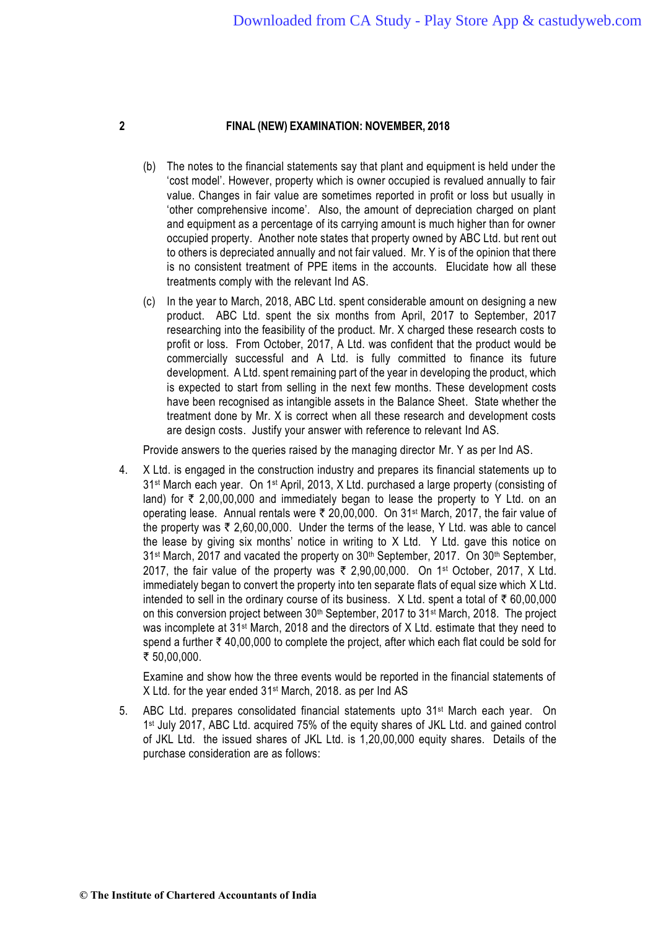- (b) The notes to the financial statements say that plant and equipment is held under the 'cost model'. However, property which is owner occupied is revalued annually to fair value. Changes in fair value are sometimes reported in profit or loss but usually in 'other comprehensive income'. Also, the amount of depreciation charged on plant and equipment as a percentage of its carrying amount is much higher than for owner occupied property. Another note states that property owned by ABC Ltd. but rent out to others is depreciated annually and not fair valued. Mr. Y is of the opinion that there is no consistent treatment of PPE items in the accounts. Elucidate how all these treatments comply with the relevant Ind AS.
- (c) In the year to March, 2018, ABC Ltd. spent considerable amount on designing a new product. ABC Ltd. spent the six months from April, 2017 to September, 2017 researching into the feasibility of the product. Mr. X charged these research costs to profit or loss. From October, 2017, A Ltd. was confident that the product would be commercially successful and A Ltd. is fully committed to finance its future development. A Ltd. spent remaining part of the year in developing the product, which is expected to start from selling in the next few months. These development costs have been recognised as intangible assets in the Balance Sheet. State whether the treatment done by Mr. X is correct when all these research and development costs are design costs. Justify your answer with reference to relevant Ind AS.

Provide answers to the queries raised by the managing director Mr. Y as per Ind AS.

4. X Ltd. is engaged in the construction industry and prepares its financial statements up to 31<sup>st</sup> March each year. On 1<sup>st</sup> April, 2013, X Ltd. purchased a large property (consisting of land) for  $\bar{\tau}$  2,00,00,000 and immediately began to lease the property to Y Ltd. on an operating lease. Annual rentals were ₹ 20,00,000. On 31<sup>st</sup> March, 2017, the fair value of the property was  $\bar{\tau}$  2,60,00,000. Under the terms of the lease, Y Ltd. was able to cancel the lease by giving six months' notice in writing to X Ltd. Y Ltd. gave this notice on 31<sup>st</sup> March, 2017 and vacated the property on 30<sup>th</sup> September, 2017. On 30<sup>th</sup> September, 2017, the fair value of the property was  $\bar{\tau}$  2,90,00,000. On 1<sup>st</sup> October, 2017, X Ltd. immediately began to convert the property into ten separate flats of equal size which X Ltd. intended to sell in the ordinary course of its business. X Ltd. spent a total of  $\bar{\tau}$  60,00,000 on this conversion project between 30<sup>th</sup> September, 2017 to 31<sup>st</sup> March, 2018. The project was incomplete at 31<sup>st</sup> March, 2018 and the directors of X Ltd. estimate that they need to spend a further  $\bar{\tau}$  40,00,000 to complete the project, after which each flat could be sold for ₹ 50,00,000.

Examine and show how the three events would be reported in the financial statements of X Ltd. for the year ended 31<sup>st</sup> March, 2018. as per Ind AS

5. ABC Ltd. prepares consolidated financial statements upto 31 st March each year. On 1<sup>st</sup> July 2017, ABC Ltd. acquired 75% of the equity shares of JKL Ltd. and gained control of JKL Ltd. the issued shares of JKL Ltd. is 1,20,00,000 equity shares. Details of the purchase consideration are as follows: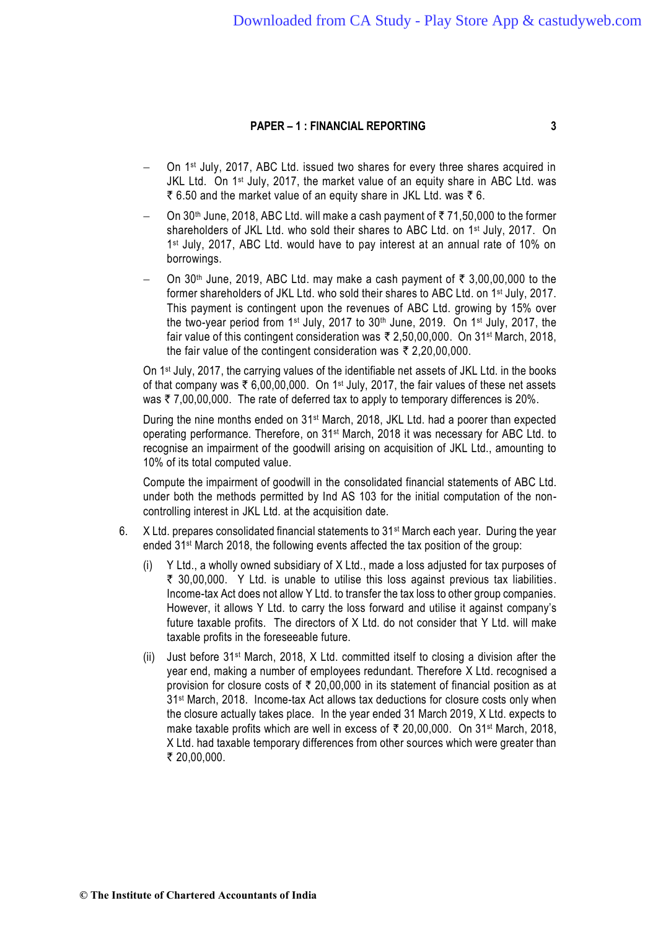- On 1st July, 2017, ABC Ltd. issued two shares for every three shares acquired in JKL Ltd. On 1<sup>st</sup> July, 2017, the market value of an equity share in ABC Ltd. was ₹ 6.50 and the market value of an equity share in JKL Ltd. was  $\bar{\tau}$  6.
- $-$  On 30<sup>th</sup> June, 2018, ABC Ltd. will make a cash payment of ₹71,50,000 to the former shareholders of JKL Ltd. who sold their shares to ABC Ltd. on 1<sup>st</sup> July, 2017. On 1 st July, 2017, ABC Ltd. would have to pay interest at an annual rate of 10% on borrowings.
- $-$  On 30<sup>th</sup> June, 2019, ABC Ltd. may make a cash payment of ₹ 3,00,00,000 to the former shareholders of JKL Ltd. who sold their shares to ABC Ltd. on 1st July, 2017. This payment is contingent upon the revenues of ABC Ltd. growing by 15% over the two-year period from 1<sup>st</sup> July, 2017 to 30<sup>th</sup> June, 2019. On 1<sup>st</sup> July, 2017, the fair value of this contingent consideration was ₹ 2,50,00,000. On 31<sup>st</sup> March, 2018, the fair value of the contingent consideration was  $\bar{\tau}$  2,20,00,000.

On 1st July, 2017, the carrying values of the identifiable net assets of JKL Ltd. in the books of that company was  $\bar{\tau}$  6,00,00,000. On 1<sup>st</sup> July, 2017, the fair values of these net assets was  $\bar{\tau}$  7,00,00,000. The rate of deferred tax to apply to temporary differences is 20%.

During the nine months ended on 31<sup>st</sup> March, 2018, JKL Ltd. had a poorer than expected operating performance. Therefore, on 31 st March, 2018 it was necessary for ABC Ltd. to recognise an impairment of the goodwill arising on acquisition of JKL Ltd., amounting to 10% of its total computed value.

Compute the impairment of goodwill in the consolidated financial statements of ABC Ltd. under both the methods permitted by Ind AS 103 for the initial computation of the noncontrolling interest in JKL Ltd. at the acquisition date.

- 6. X Ltd. prepares consolidated financial statements to  $31<sup>st</sup>$  March each year. During the year ended 31st March 2018, the following events affected the tax position of the group:
	- (i) Y Ltd., a wholly owned subsidiary of X Ltd., made a loss adjusted for tax purposes of  $\bar{\tau}$  30,00,000. Y Ltd. is unable to utilise this loss against previous tax liabilities. Income-tax Act does not allow Y Ltd. to transfer the tax loss to other group companies. However, it allows Y Ltd. to carry the loss forward and utilise it against company's future taxable profits. The directors of X Ltd. do not consider that Y Ltd. will make taxable profits in the foreseeable future.
	- (ii) Just before 31st March, 2018, X Ltd. committed itself to closing a division after the year end, making a number of employees redundant. Therefore X Ltd. recognised a provision for closure costs of  $\bar{\tau}$  20,00,000 in its statement of financial position as at 31st March, 2018. Income-tax Act allows tax deductions for closure costs only when the closure actually takes place. In the year ended 31 March 2019, X Ltd. expects to make taxable profits which are well in excess of  $\bar{\tau}$  20,00,000. On 31<sup>st</sup> March, 2018, X Ltd. had taxable temporary differences from other sources which were greater than ₹ 20,00,000.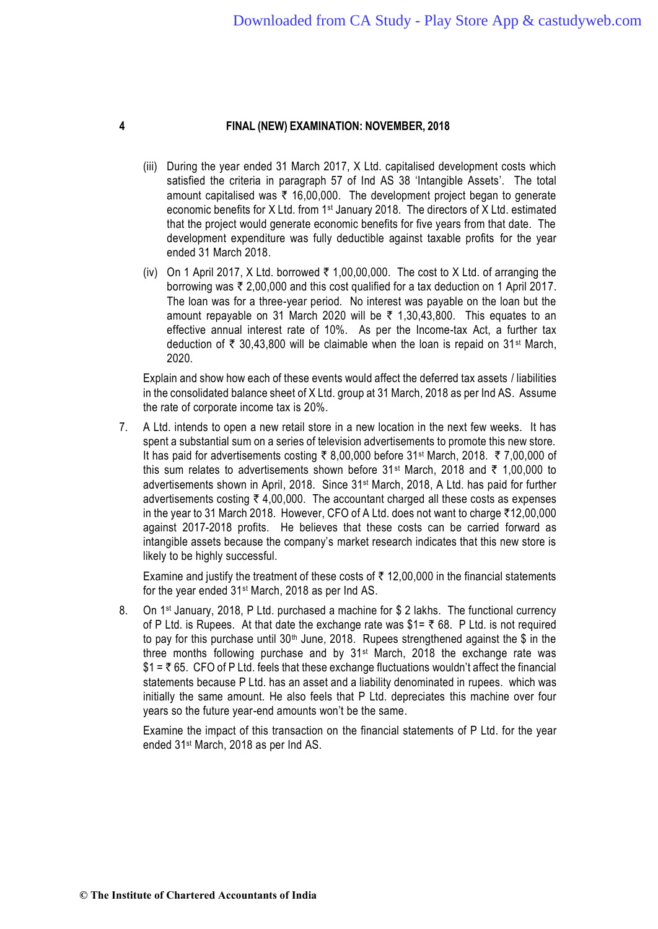- (iii) During the year ended 31 March 2017, X Ltd. capitalised development costs which satisfied the criteria in paragraph 57 of Ind AS 38 'Intangible Assets'. The total amount capitalised was  $\bar{\tau}$  16,00,000. The development project began to generate economic benefits for X Ltd. from 1<sup>st</sup> January 2018. The directors of X Ltd. estimated that the project would generate economic benefits for five years from that date. The development expenditure was fully deductible against taxable profits for the year ended 31 March 2018.
- (iv) On 1 April 2017, X Ltd. borrowed  $\bar{\tau}$  1,00,00,000. The cost to X Ltd. of arranging the borrowing was  $\bar{\tau}$  2,00,000 and this cost qualified for a tax deduction on 1 April 2017. The loan was for a three-year period. No interest was payable on the loan but the amount repayable on 31 March 2020 will be  $\bar{\tau}$  1,30,43,800. This equates to an effective annual interest rate of 10%. As per the Income-tax Act, a further tax deduction of  $\bar{\tau}$  30,43,800 will be claimable when the loan is repaid on 31<sup>st</sup> March, 2020.

Explain and show how each of these events would affect the deferred tax assets / liabilities in the consolidated balance sheet of X Ltd. group at 31 March, 2018 as per Ind AS. Assume the rate of corporate income tax is 20%.

7. A Ltd. intends to open a new retail store in a new location in the next few weeks. It has spent a substantial sum on a series of television advertisements to promote this new store. It has paid for advertisements costing  $\bar{\tau}$  8,00,000 before 31<sup>st</sup> March, 2018.  $\bar{\tau}$  7,00,000 of this sum relates to advertisements shown before 31<sup>st</sup> March, 2018 and  $\bar{\tau}$  1,00,000 to advertisements shown in April, 2018. Since 31st March, 2018, A Ltd. has paid for further advertisements costing  $\bar{\tau}$  4,00,000. The accountant charged all these costs as expenses in the year to 31 March 2018. However, CFO of A Ltd. does not want to charge  $\overline{512,00,000}$ against 2017-2018 profits. He believes that these costs can be carried forward as intangible assets because the company's market research indicates that this new store is likely to be highly successful.

Examine and justify the treatment of these costs of  $\bar{\tau}$  12,00,000 in the financial statements for the year ended 31st March, 2018 as per Ind AS.

8. On 1<sup>st</sup> January, 2018, P Ltd. purchased a machine for \$ 2 lakhs. The functional currency of P Ltd. is Rupees. At that date the exchange rate was  $$1 = \overline{5}$  68. P Ltd. is not required to pay for this purchase until 30<sup>th</sup> June, 2018. Rupees strengthened against the \$ in the three months following purchase and by  $31<sup>st</sup>$  March, 2018 the exchange rate was  $$1 =$   $\overline{5}$  65. CFO of P Ltd. feels that these exchange fluctuations wouldn't affect the financial statements because P Ltd. has an asset and a liability denominated in rupees. which was initially the same amount. He also feels that P Ltd. depreciates this machine over four years so the future year-end amounts won't be the same.

Examine the impact of this transaction on the financial statements of P Ltd. for the year ended 31st March, 2018 as per Ind AS.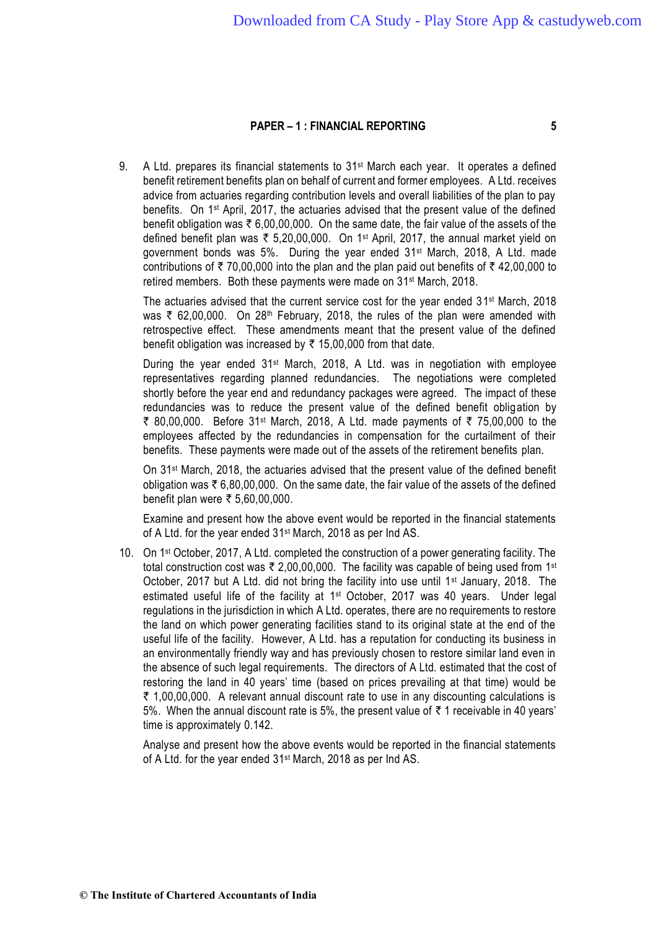9. A Ltd. prepares its financial statements to 31<sup>st</sup> March each year. It operates a defined benefit retirement benefits plan on behalf of current and former employees. A Ltd. receives advice from actuaries regarding contribution levels and overall liabilities of the plan to pay benefits. On 1st April, 2017, the actuaries advised that the present value of the defined benefit obligation was  $\bar{\tau}$  6,00,00,000. On the same date, the fair value of the assets of the defined benefit plan was  $\overline{\xi}$  5,20,00,000. On 1<sup>st</sup> April, 2017, the annual market yield on government bonds was 5%. During the year ended 31<sup>st</sup> March, 2018, A Ltd. made contributions of  $\bar{\tau}$  70,00,000 into the plan and the plan paid out benefits of  $\bar{\tau}$  42,00,000 to retired members. Both these payments were made on 31<sup>st</sup> March, 2018.

The actuaries advised that the current service cost for the year ended 31<sup>st</sup> March, 2018 was  $\bar{\tau}$  62,00,000. On 28<sup>th</sup> February, 2018, the rules of the plan were amended with retrospective effect. These amendments meant that the present value of the defined benefit obligation was increased by  $\bar{\tau}$  15,00,000 from that date.

During the year ended 31<sup>st</sup> March, 2018, A Ltd. was in negotiation with employee representatives regarding planned redundancies. The negotiations were completed shortly before the year end and redundancy packages were agreed. The impact of these redundancies was to reduce the present value of the defined benefit obligation by ₹ 80,00,000. Before 31<sup>st</sup> March, 2018, A Ltd. made payments of ₹ 75,00,000 to the employees affected by the redundancies in compensation for the curtailment of their benefits. These payments were made out of the assets of the retirement benefits plan.

On 31<sup>st</sup> March, 2018, the actuaries advised that the present value of the defined benefit obligation was  $\bar{\tau}$  6,80,00,000. On the same date, the fair value of the assets of the defined benefit plan were ₹ 5,60,00,000.

Examine and present how the above event would be reported in the financial statements of A Ltd. for the year ended 31<sup>st</sup> March, 2018 as per Ind AS.

10. On 1<sup>st</sup> October, 2017, A Ltd. completed the construction of a power generating facility. The total construction cost was ₹ 2,00,00,000. The facility was capable of being used from 1st October, 2017 but A Ltd. did not bring the facility into use until 1<sup>st</sup> January, 2018. The estimated useful life of the facility at 1<sup>st</sup> October, 2017 was 40 years. Under legal regulations in the jurisdiction in which A Ltd. operates, there are no requirements to restore the land on which power generating facilities stand to its original state at the end of the useful life of the facility. However, A Ltd. has a reputation for conducting its business in an environmentally friendly way and has previously chosen to restore similar land even in the absence of such legal requirements. The directors of A Ltd. estimated that the cost of restoring the land in 40 years' time (based on prices prevailing at that time) would be  $\bar{\tau}$  1,00,00,000. A relevant annual discount rate to use in any discounting calculations is 5%. When the annual discount rate is 5%, the present value of  $\bar{\tau}$  1 receivable in 40 years' time is approximately 0.142.

Analyse and present how the above events would be reported in the financial statements of A Ltd. for the year ended 31st March, 2018 as per Ind AS.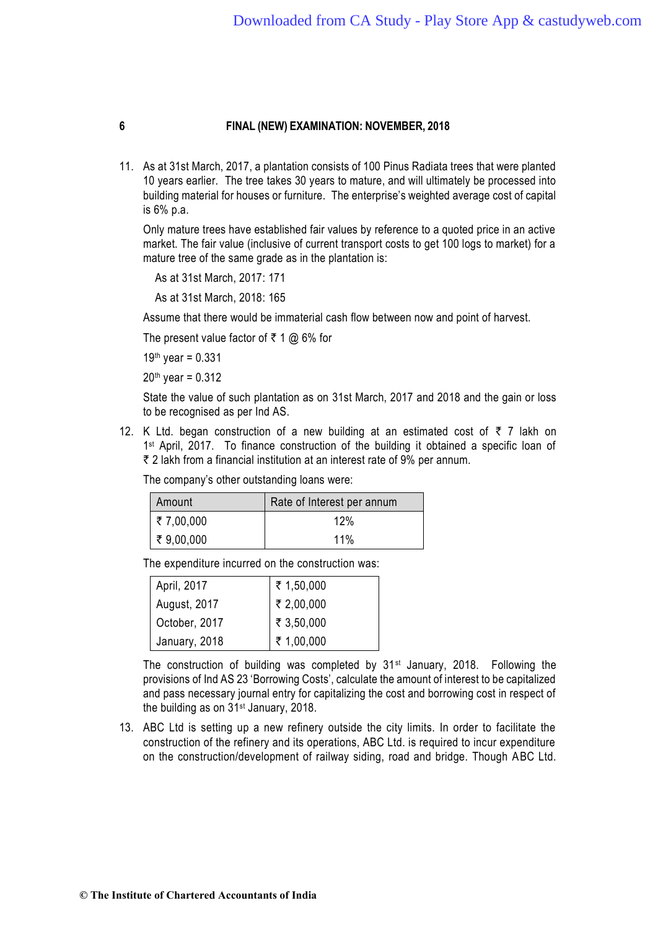11. As at 31st March, 2017, a plantation consists of 100 Pinus Radiata trees that were planted 10 years earlier. The tree takes 30 years to mature, and will ultimately be processed into building material for houses or furniture. The enterprise's weighted average cost of capital is 6% p.a.

Only mature trees have established fair values by reference to a quoted price in an active market. The fair value (inclusive of current transport costs to get 100 logs to market) for a mature tree of the same grade as in the plantation is:

As at 31st March, 2017: 171

As at 31st March, 2018: 165

Assume that there would be immaterial cash flow between now and point of harvest.

The present value factor of  $\bar{\tau}$  1 @ 6% for

19th year =  $0.331$ 

 $20<sup>th</sup>$  year = 0.312

State the value of such plantation as on 31st March, 2017 and 2018 and the gain or loss to be recognised as per Ind AS.

12. K Ltd. began construction of a new building at an estimated cost of  $\bar{\tau}$  7 lakh on 1<sup>st</sup> April, 2017. To finance construction of the building it obtained a specific loan of ` 2 lakh from a financial institution at an interest rate of 9% per annum.

| Amount             | Rate of Interest per annum |
|--------------------|----------------------------|
| $\vert$ ₹ 7,00,000 | 12%                        |
| $\vert$ ₹ 9,00,000 | 11%                        |

The company's other outstanding loans were:

The expenditure incurred on the construction was:

| April, 2017   |                                                                                                                                                 |
|---------------|-------------------------------------------------------------------------------------------------------------------------------------------------|
| August, 2017  |                                                                                                                                                 |
| October, 2017 |                                                                                                                                                 |
| January, 2018 | $\begin{array}{c} 2 \overline{5} & 1,50,000 \\ 3 \overline{5} & 2,00,000 \\ 4 \overline{5} & 3,50,000 \\ 5 \overline{5} & 1,00,000 \end{array}$ |

The construction of building was completed by  $31<sup>st</sup>$  January, 2018. Following the provisions of Ind AS 23 'Borrowing Costs', calculate the amount of interest to be capitalized and pass necessary journal entry for capitalizing the cost and borrowing cost in respect of the building as on 31st January, 2018.

13. ABC Ltd is setting up a new refinery outside the city limits. In order to facilitate the construction of the refinery and its operations, ABC Ltd. is required to incur expenditure on the construction/development of railway siding, road and bridge. Though ABC Ltd.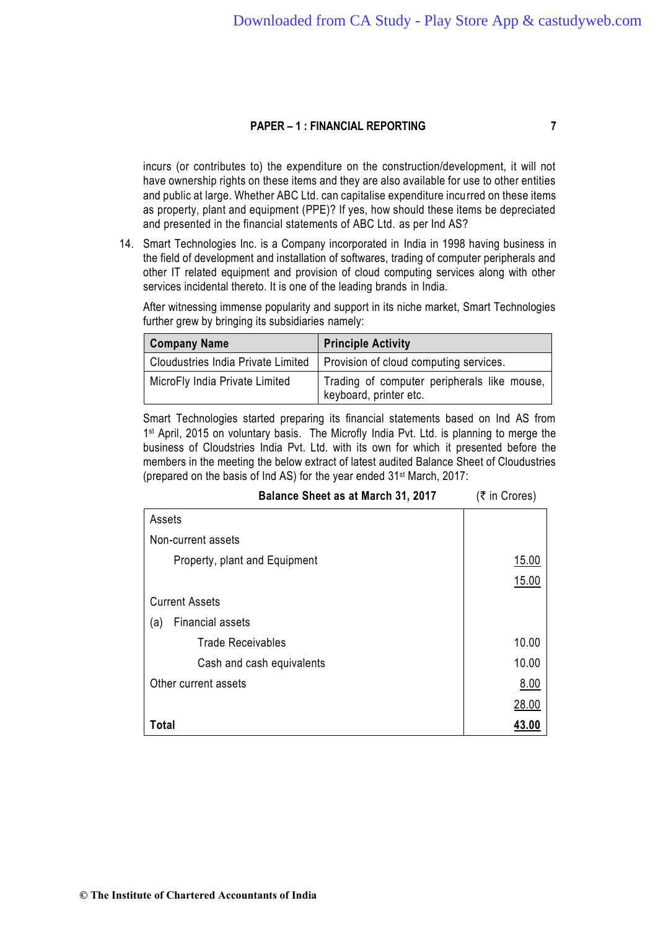incurs (or contributes to) the expenditure on the construction/development, it will not have ownership rights on these items and they are also available for use to other entities and public at large. Whether ABC Ltd. can capitalise expenditure incurred on these items as property, plant and equipment (PPE)? If yes, how should these items be depreciated and presented in the financial statements of ABC Ltd. as per Ind AS?

14. Smart Technologies Inc. is a Company incorporated in India in 1998 having business in the field of development and installation of softwares, trading of computer peripherals and other IT related equipment and provision of cloud computing services along with other services incidental thereto. It is one of the leading brands in India.

After witnessing immense popularity and support in its niche market, Smart Technologies further grew by bringing its subsidiaries namely:

| <b>Company Name</b>                       | <b>Principle Activity</b>                                             |
|-------------------------------------------|-----------------------------------------------------------------------|
| <b>Cloudustries India Private Limited</b> | Provision of cloud computing services.                                |
| MicroFly India Private Limited            | Trading of computer peripherals like mouse,<br>keyboard, printer etc. |

Smart Technologies started preparing its financial statements based on Ind AS from 1<sup>st</sup> April, 2015 on voluntary basis. The Microfly India Pvt. Ltd. is planning to merge the business of Cloudstries India Pvt. Ltd. with its own for which it presented before the members in the meeting the below extract of latest audited Balance Sheet of Cloudustries (prepared on the basis of Ind AS) for the year ended 31st March, 2017:

| Balance Sheet as at March 31, 2017 | (₹ in Crores) |
|------------------------------------|---------------|
| Assets                             |               |
| Non-current assets                 |               |
| Property, plant and Equipment      | 15.00         |
|                                    | 15.00         |
| <b>Current Assets</b>              |               |
| <b>Financial assets</b><br>(a)     |               |
| <b>Trade Receivables</b>           | 10.00         |
| Cash and cash equivalents          | 10.00         |
| Other current assets               | <u>8.00</u>   |
|                                    | 28.00         |
| Total                              | 43.00         |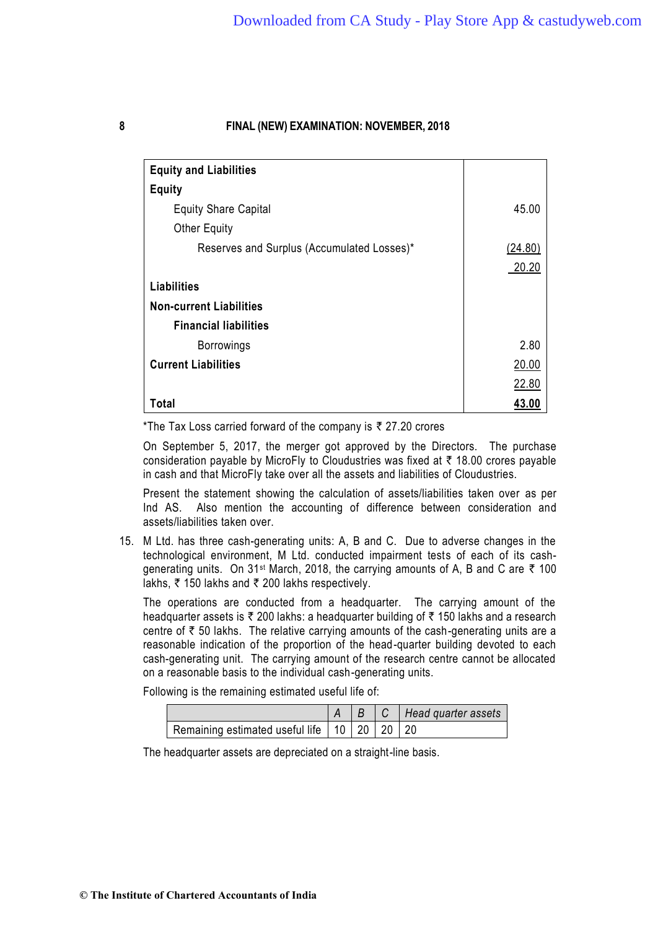| <b>Equity and Liabilities</b>              |         |
|--------------------------------------------|---------|
| <b>Equity</b>                              |         |
| <b>Equity Share Capital</b>                | 45.00   |
| <b>Other Equity</b>                        |         |
| Reserves and Surplus (Accumulated Losses)* | (24.80) |
|                                            | 20.20   |
| <b>Liabilities</b>                         |         |
| <b>Non-current Liabilities</b>             |         |
| <b>Financial liabilities</b>               |         |
| <b>Borrowings</b>                          | 2.80    |
| <b>Current Liabilities</b>                 | 20.00   |
|                                            | 22.80   |
| Total                                      | 43.00   |

\*The Tax Loss carried forward of the company is  $\bar{\tau}$  27.20 crores

On September 5, 2017, the merger got approved by the Directors. The purchase consideration payable by MicroFly to Cloudustries was fixed at  $\bar{\tau}$  18.00 crores payable in cash and that MicroFly take over all the assets and liabilities of Cloudustries.

Present the statement showing the calculation of assets/liabilities taken over as per Ind AS. Also mention the accounting of difference between consideration and assets/liabilities taken over.

15. M Ltd. has three cash-generating units: A, B and C. Due to adverse changes in the technological environment, M Ltd. conducted impairment tests of each of its cashgenerating units. On 31<sup>st</sup> March, 2018, the carrying amounts of A, B and C are  $\bar{\tau}$  100 lakhs,  $\bar{\tau}$  150 lakhs and  $\bar{\tau}$  200 lakhs respectively.

The operations are conducted from a headquarter. The carrying amount of the headquarter assets is  $\bar{\tau}$  200 lakhs: a headquarter building of  $\bar{\tau}$  150 lakhs and a research centre of  $\bar{\tau}$  50 lakhs. The relative carrying amounts of the cash-generating units are a reasonable indication of the proportion of the head-quarter building devoted to each cash-generating unit. The carrying amount of the research centre cannot be allocated on a reasonable basis to the individual cash-generating units.

Following is the remaining estimated useful life of:

|                                                     |  | $\mid B \mid C \mid$ Head quarter assets |
|-----------------------------------------------------|--|------------------------------------------|
| Remaining estimated useful life   10   20   20   20 |  |                                          |

The headquarter assets are depreciated on a straight-line basis.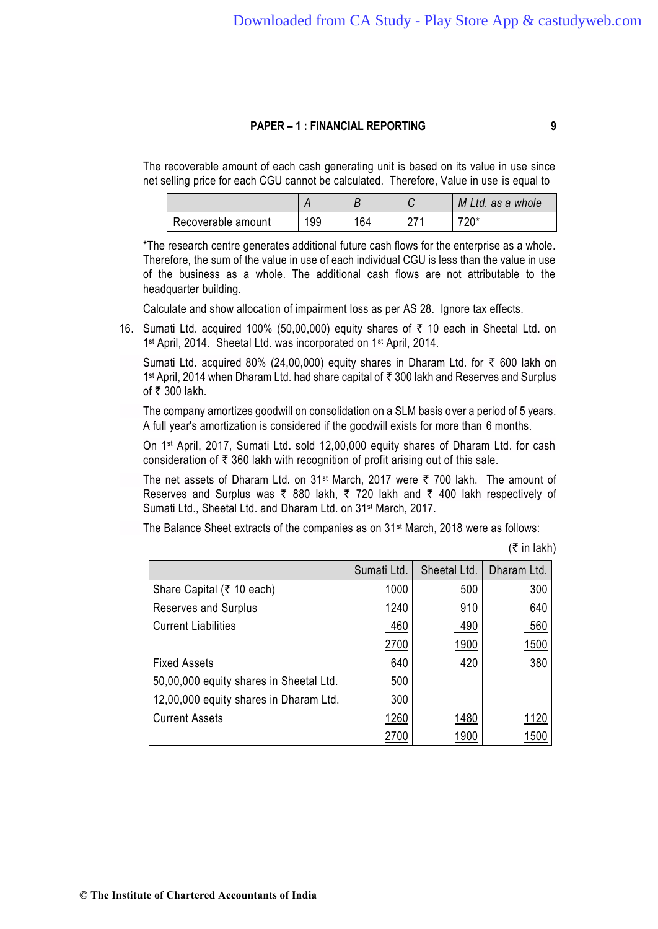The recoverable amount of each cash generating unit is based on its value in use since net selling price for each CGU cannot be calculated. Therefore, Value in use is equal to

|                    |     |     | M Ltd. as a whole |
|--------------------|-----|-----|-------------------|
| Recoverable amount | 199 | 164 | *∩מ−<br>∠∪        |

\*The research centre generates additional future cash flows for the enterprise as a whole. Therefore, the sum of the value in use of each individual CGU is less than the value in use of the business as a whole. The additional cash flows are not attributable to the headquarter building.

Calculate and show allocation of impairment loss as per AS 28. Ignore tax effects.

16. Sumati Ltd. acquired 100% (50,00,000) equity shares of  $\bar{\tau}$  10 each in Sheetal Ltd. on 1 st April, 2014. Sheetal Ltd. was incorporated on 1st April, 2014.

Sumati Ltd. acquired 80% (24,00,000) equity shares in Dharam Ltd. for  $\bar{\tau}$  600 lakh on 1<sup>st</sup> April, 2014 when Dharam Ltd. had share capital of ₹ 300 lakh and Reserves and Surplus of  $\bar{\tau}$  300 lakh.

The company amortizes goodwill on consolidation on a SLM basis over a period of 5 years. A full year's amortization is considered if the goodwill exists for more than 6 months.

On 1st April, 2017, Sumati Ltd. sold 12,00,000 equity shares of Dharam Ltd. for cash consideration of  $\bar{\tau}$  360 lakh with recognition of profit arising out of this sale.

The net assets of Dharam Ltd. on  $31^{st}$  March, 2017 were  $\bar{\tau}$  700 lakh. The amount of Reserves and Surplus was  $\bar{\tau}$  880 lakh,  $\bar{\tau}$  720 lakh and  $\bar{\tau}$  400 lakh respectively of Sumati Ltd., Sheetal Ltd. and Dharam Ltd. on 31st March, 2017.

The Balance Sheet extracts of the companies as on 31<sup>st</sup> March, 2018 were as follows:

 $($ ₹ in lakh)

|                                         | Sumati Ltd. | Sheetal Ltd. | Dharam Ltd. |
|-----------------------------------------|-------------|--------------|-------------|
| Share Capital (₹ 10 each)               | 1000        | 500          | 300         |
| <b>Reserves and Surplus</b>             | 1240        | 910          | 640         |
| <b>Current Liabilities</b>              | 460         | 490          | 560         |
|                                         | 2700        | 1900         | <u>1500</u> |
| <b>Fixed Assets</b>                     | 640         | 420          | 380         |
| 50,00,000 equity shares in Sheetal Ltd. | 500         |              |             |
| 12,00,000 equity shares in Dharam Ltd.  | 300         |              |             |
| <b>Current Assets</b>                   | 1260        | 1480         | 1120        |
|                                         | 2700        | 1900         | 1500        |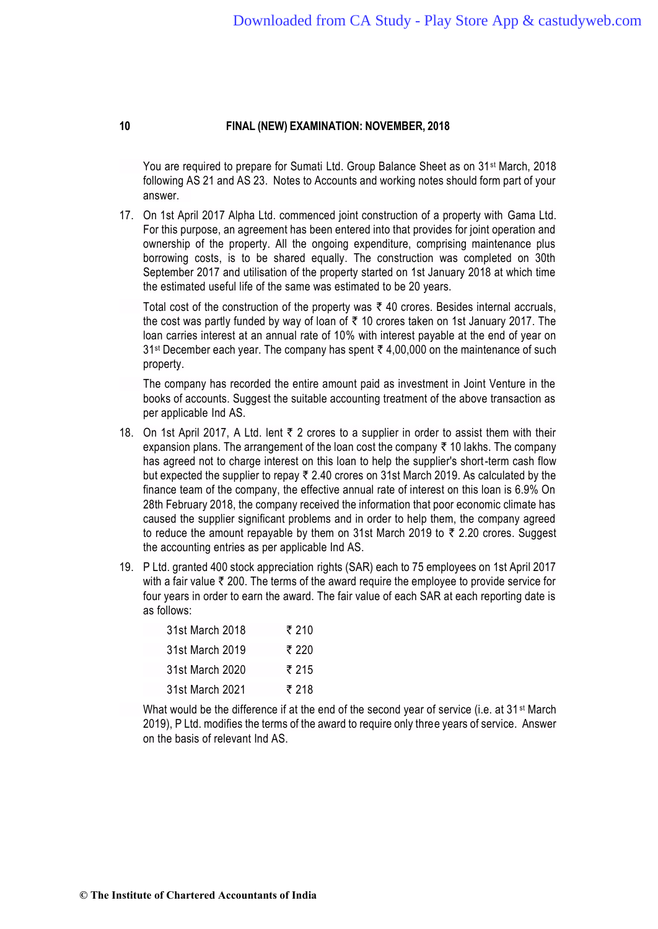You are required to prepare for Sumati Ltd. Group Balance Sheet as on 31st March, 2018 following AS 21 and AS 23. Notes to Accounts and working notes should form part of your answer.

17. On 1st April 2017 Alpha Ltd. commenced joint construction of a property with Gama Ltd. For this purpose, an agreement has been entered into that provides for joint operation and ownership of the property. All the ongoing expenditure, comprising maintenance plus borrowing costs, is to be shared equally. The construction was completed on 30th September 2017 and utilisation of the property started on 1st January 2018 at which time the estimated useful life of the same was estimated to be 20 years.

Total cost of the construction of the property was  $\bar{\tau}$  40 crores. Besides internal accruals, the cost was partly funded by way of loan of  $\bar{\tau}$  10 crores taken on 1st January 2017. The loan carries interest at an annual rate of 10% with interest payable at the end of year on  $31$ <sup>st</sup> December each year. The company has spent  $\overline{3}$  4,00,000 on the maintenance of such property.

The company has recorded the entire amount paid as investment in Joint Venture in the books of accounts. Suggest the suitable accounting treatment of the above transaction as per applicable Ind AS.

- 18. On 1st April 2017, A Ltd. lent  $\bar{\tau}$  2 crores to a supplier in order to assist them with their expansion plans. The arrangement of the loan cost the company  $\bar{\tau}$  10 lakhs. The company has agreed not to charge interest on this loan to help the supplier's short-term cash flow but expected the supplier to repay  $\bar{\tau}$  2.40 crores on 31st March 2019. As calculated by the finance team of the company, the effective annual rate of interest on this loan is 6.9% On 28th February 2018, the company received the information that poor economic climate has caused the supplier significant problems and in order to help them, the company agreed to reduce the amount repayable by them on 31st March 2019 to  $\bar{\tau}$  2.20 crores. Suggest the accounting entries as per applicable Ind AS.
- 19. P Ltd. granted 400 stock appreciation rights (SAR) each to 75 employees on 1st April 2017 with a fair value  $\bar{\tau}$  200. The terms of the award require the employee to provide service for four years in order to earn the award. The fair value of each SAR at each reporting date is as follows:

| 31st March 2018 | ₹ 210 |
|-----------------|-------|
| 31st March 2019 | ₹ 220 |
| 31st March 2020 | ₹ 215 |
| 31st March 2021 | ₹ 218 |

What would be the difference if at the end of the second year of service (i.e. at 31<sup>st</sup> March 2019), P Ltd. modifies the terms of the award to require only three years of service. Answer on the basis of relevant Ind AS.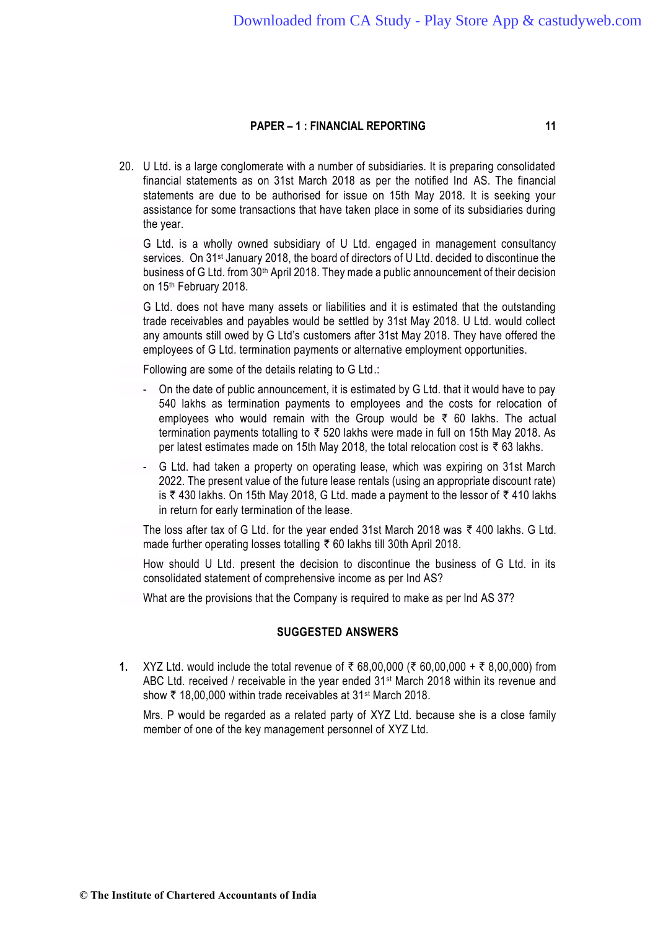20. U Ltd. is a large conglomerate with a number of subsidiaries. It is preparing consolidated financial statements as on 31st March 2018 as per the notified Ind AS. The financial statements are due to be authorised for issue on 15th May 2018. It is seeking your assistance for some transactions that have taken place in some of its subsidiaries during the year.

G Ltd. is a wholly owned subsidiary of U Ltd. engaged in management consultancy services. On 31<sup>st</sup> January 2018, the board of directors of U Ltd. decided to discontinue the business of G Ltd. from 30th April 2018. They made a public announcement of their decision on 15th February 2018.

G Ltd. does not have many assets or liabilities and it is estimated that the outstanding trade receivables and payables would be settled by 31st May 2018. U Ltd. would collect any amounts still owed by G Ltd's customers after 31st May 2018. They have offered the employees of G Ltd. termination payments or alternative employment opportunities.

Following are some of the details relating to G Ltd.:

- On the date of public announcement, it is estimated by G Ltd. that it would have to pay 540 lakhs as termination payments to employees and the costs for relocation of employees who would remain with the Group would be  $\bar{\tau}$  60 lakhs. The actual termination payments totalling to  $\bar{\tau}$  520 lakhs were made in full on 15th May 2018. As per latest estimates made on 15th May 2018, the total relocation cost is  $\bar{\tau}$  63 lakhs.
- G Ltd. had taken a property on operating lease, which was expiring on 31st March 2022. The present value of the future lease rentals (using an appropriate discount rate) is  $\bar{\tau}$  430 lakhs. On 15th May 2018, G Ltd. made a payment to the lessor of  $\bar{\tau}$  410 lakhs in return for early termination of the lease.

The loss after tax of G Ltd. for the year ended 31st March 2018 was  $\bar{\tau}$  400 lakhs. G Ltd. made further operating losses totalling  $\bar{\tau}$  60 lakhs till 30th April 2018.

How should U Ltd. present the decision to discontinue the business of G Ltd. in its consolidated statement of comprehensive income as per Ind AS?

What are the provisions that the Company is required to make as per lnd AS 37?

#### **SUGGESTED ANSWERS**

1. XYZ Ltd. would include the total revenue of ₹ 68,00,000 (₹ 60,00,000 + ₹ 8,00,000) from ABC Ltd. received / receivable in the year ended 31<sup>st</sup> March 2018 within its revenue and show  $\bar{\tau}$  18,00,000 within trade receivables at 31<sup>st</sup> March 2018.

Mrs. P would be regarded as a related party of XYZ Ltd. because she is a close family member of one of the key management personnel of XYZ Ltd.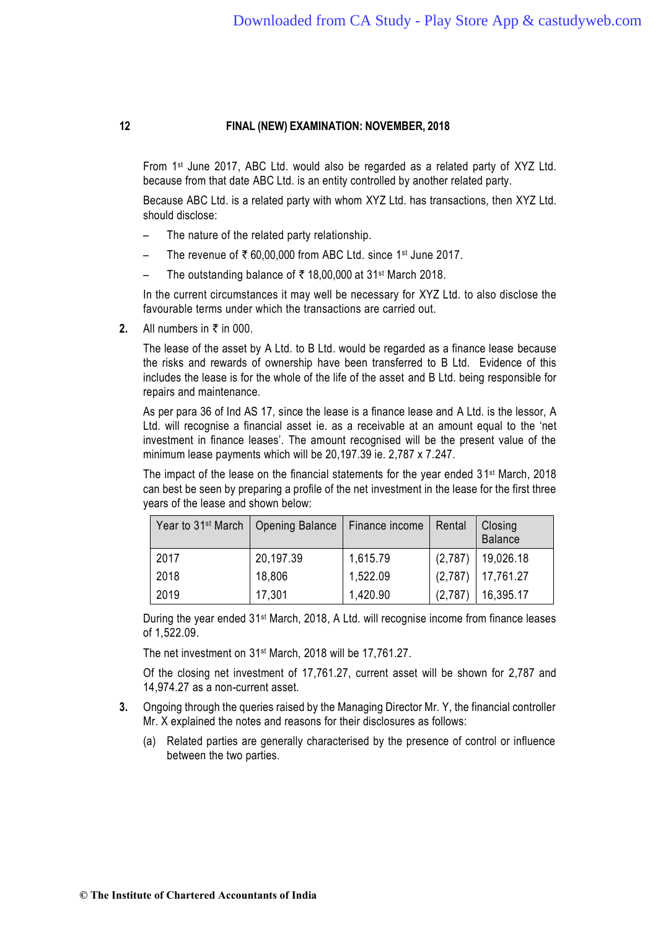From 1st June 2017, ABC Ltd. would also be regarded as a related party of XYZ Ltd. because from that date ABC Ltd. is an entity controlled by another related party.

Because ABC Ltd. is a related party with whom XYZ Ltd. has transactions, then XYZ Ltd. should disclose:

- The nature of the related party relationship.
- The revenue of  $\bar{\tau}$  60,00,000 from ABC Ltd. since 1<sup>st</sup> June 2017.
- The outstanding balance of  $\bar{\tau}$  18,00,000 at 31<sup>st</sup> March 2018.

In the current circumstances it may well be necessary for XYZ Ltd. to also disclose the favourable terms under which the transactions are carried out.

**2.** All numbers in  $\bar{\tau}$  in 000.

The lease of the asset by A Ltd. to B Ltd. would be regarded as a finance lease because the risks and rewards of ownership have been transferred to B Ltd. Evidence of this includes the lease is for the whole of the life of the asset and B Ltd. being responsible for repairs and maintenance.

As per para 36 of Ind AS 17, since the lease is a finance lease and A Ltd. is the lessor, A Ltd. will recognise a financial asset ie. as a receivable at an amount equal to the 'net investment in finance leases'. The amount recognised will be the present value of the minimum lease payments which will be 20,197.39 ie. 2,787 x 7.247.

The impact of the lease on the financial statements for the year ended 31<sup>st</sup> March, 2018 can best be seen by preparing a profile of the net investment in the lease for the first three years of the lease and shown below:

| Year to 31 <sup>st</sup> March   Opening Balance |           | Finance income | Rental  | Closing<br><b>Balance</b> |
|--------------------------------------------------|-----------|----------------|---------|---------------------------|
| 2017                                             | 20,197.39 | 1,615.79       | (2,787) | 19,026.18                 |
| 2018                                             | 18,806    | 1,522.09       | (2,787) | 17,761.27                 |
| 2019                                             | 17,301    | 1,420.90       | (2,787) | 16,395.17                 |

During the year ended 31<sup>st</sup> March, 2018, A Ltd. will recognise income from finance leases of 1,522.09.

The net investment on 31<sup>st</sup> March, 2018 will be 17,761.27.

Of the closing net investment of 17,761.27, current asset will be shown for 2,787 and 14,974.27 as a non-current asset.

- **3.** Ongoing through the queries raised by the Managing Director Mr. Y, the financial controller Mr. X explained the notes and reasons for their disclosures as follows:
	- (a) Related parties are generally characterised by the presence of control or influence between the two parties.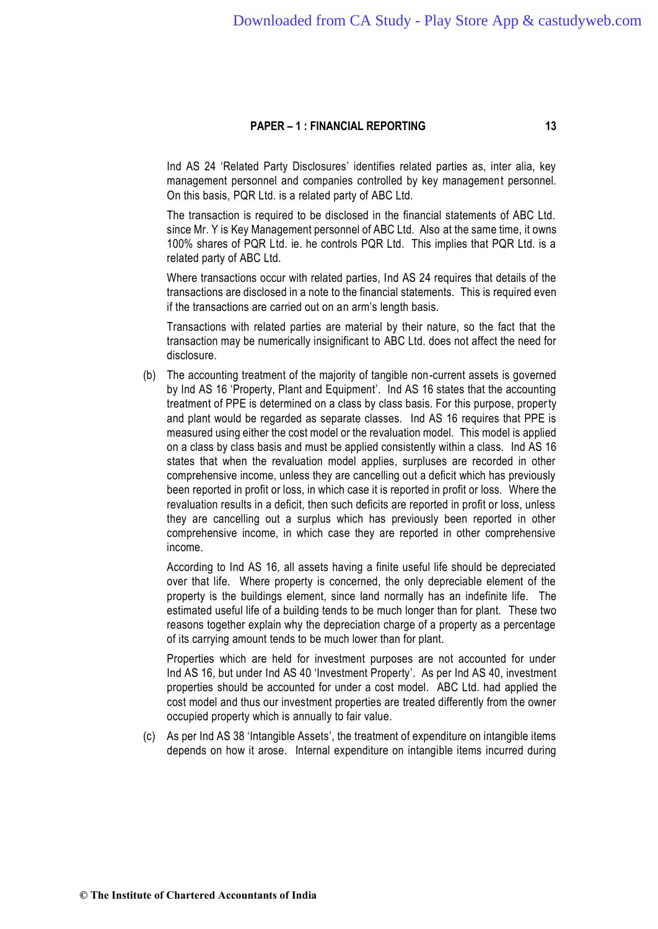Ind AS 24 'Related Party Disclosures' identifies related parties as, inter alia, key management personnel and companies controlled by key management personnel. On this basis, PQR Ltd. is a related party of ABC Ltd.

The transaction is required to be disclosed in the financial statements of ABC Ltd. since Mr. Y is Key Management personnel of ABC Ltd. Also at the same time, it owns 100% shares of PQR Ltd. ie. he controls PQR Ltd. This implies that PQR Ltd. is a related party of ABC Ltd.

Where transactions occur with related parties, Ind AS 24 requires that details of the transactions are disclosed in a note to the financial statements. This is required even if the transactions are carried out on an arm's length basis.

Transactions with related parties are material by their nature, so the fact that the transaction may be numerically insignificant to ABC Ltd. does not affect the need for disclosure.

(b) The accounting treatment of the majority of tangible non-current assets is governed by Ind AS 16 'Property, Plant and Equipment'. Ind AS 16 states that the accounting treatment of PPE is determined on a class by class basis. For this purpose, property and plant would be regarded as separate classes. Ind AS 16 requires that PPE is measured using either the cost model or the revaluation model. This model is applied on a class by class basis and must be applied consistently within a class. Ind AS 16 states that when the revaluation model applies, surpluses are recorded in other comprehensive income, unless they are cancelling out a deficit which has previously been reported in profit or loss, in which case it is reported in profit or loss. Where the revaluation results in a deficit, then such deficits are reported in profit or loss, unless they are cancelling out a surplus which has previously been reported in other comprehensive income, in which case they are reported in other comprehensive income.

According to Ind AS 16, all assets having a finite useful life should be depreciated over that life. Where property is concerned, the only depreciable element of the property is the buildings element, since land normally has an indefinite life. The estimated useful life of a building tends to be much longer than for plant. These two reasons together explain why the depreciation charge of a property as a percentage of its carrying amount tends to be much lower than for plant.

Properties which are held for investment purposes are not accounted for under Ind AS 16, but under Ind AS 40 'Investment Property'. As per Ind AS 40, investment properties should be accounted for under a cost model. ABC Ltd. had applied the cost model and thus our investment properties are treated differently from the owner occupied property which is annually to fair value.

(c) As per Ind AS 38 'Intangible Assets', the treatment of expenditure on intangible items depends on how it arose. Internal expenditure on intangible items incurred during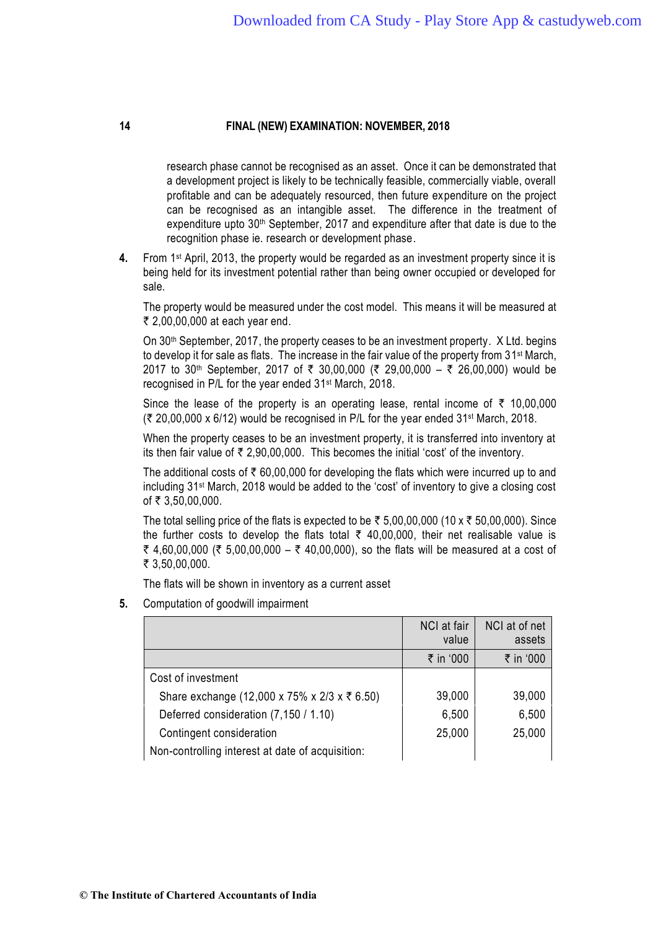research phase cannot be recognised as an asset. Once it can be demonstrated that a development project is likely to be technically feasible, commercially viable, overall profitable and can be adequately resourced, then future expenditure on the project can be recognised as an intangible asset. The difference in the treatment of expenditure upto 30<sup>th</sup> September, 2017 and expenditure after that date is due to the recognition phase ie. research or development phase.

**4.** From 1st April, 2013, the property would be regarded as an investment property since it is being held for its investment potential rather than being owner occupied or developed for sale.

The property would be measured under the cost model. This means it will be measured at ₹ 2,00,00,000 at each year end.

On 30<sup>th</sup> September, 2017, the property ceases to be an investment property. X Ltd. begins to develop it for sale as flats. The increase in the fair value of the property from 31<sup>st</sup> March, 2017 to 30<sup>th</sup> September, 2017 of ₹ 30,00,000 (₹ 29,00,000 – ₹ 26,00,000) would be recognised in P/L for the year ended 31 st March, 2018.

Since the lease of the property is an operating lease, rental income of  $\bar{\tau}$  10,00,000  $($  ₹ 20,00,000 x 6/12) would be recognised in P/L for the year ended 31<sup>st</sup> March, 2018.

When the property ceases to be an investment property, it is transferred into inventory at its then fair value of  $\bar{\tau}$  2,90,00,000. This becomes the initial 'cost' of the inventory.

The additional costs of  $\bar{\tau}$  60,00,000 for developing the flats which were incurred up to and including 31st March, 2018 would be added to the 'cost' of inventory to give a closing cost of ₹ 3,50,00,000.

The total selling price of the flats is expected to be  $\bar{\tau}$  5,00,00,000 (10 x  $\bar{\tau}$  50,00,000). Since the further costs to develop the flats total  $\bar{\tau}$  40,00,000, their net realisable value is ₹ 4,60,00,000 (₹ 5,00,00,000 – ₹ 40,00,000), so the flats will be measured at a cost of ₹ 3,50,00,000.

The flats will be shown in inventory as a current asset

**5.** Computation of goodwill impairment

|                                                  | NCI at fair<br>value | NCI at of net<br>assets |
|--------------------------------------------------|----------------------|-------------------------|
|                                                  | ₹ in '000            | ₹ in '000               |
| Cost of investment                               |                      |                         |
| Share exchange (12,000 x 75% x 2/3 x ₹ 6.50)     | 39,000               | 39,000                  |
| Deferred consideration (7,150 / 1.10)            | 6,500                | 6,500                   |
| Contingent consideration                         | 25,000               | 25,000                  |
| Non-controlling interest at date of acquisition: |                      |                         |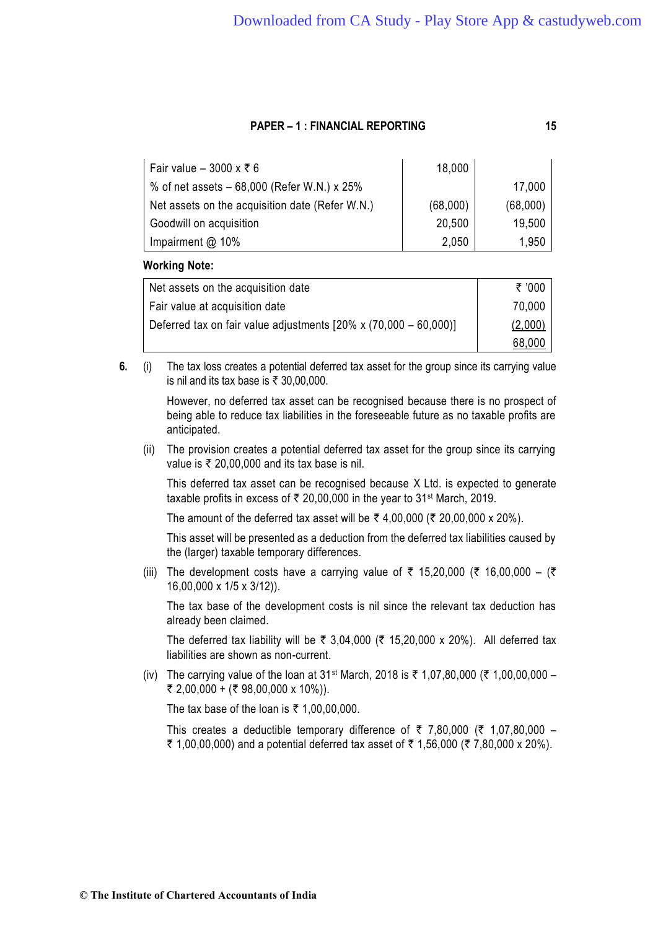Fair value –  $3000 \times \overline{5}$  6 18,000 % of net assets – 68,000 (Refer W.N.) x 25% | 17,000 Net assets on the acquisition date (Refer W.N.) (68,000) | (68,000) Goodwill on acquisition 20,500 | 19,500 Impairment @ 10% 1,950

# **Working Note:**

| Net assets on the acquisition date                                       | ₹ '000  |
|--------------------------------------------------------------------------|---------|
| Fair value at acquisition date                                           | 70,000  |
| Deferred tax on fair value adjustments $[20\% \times (70,000 - 60,000)]$ | (2,000) |
|                                                                          | 68,000  |

**6.** (i) The tax loss creates a potential deferred tax asset for the group since its carrying value is nil and its tax base is  $\overline{\tau}$  30,00,000.

> However, no deferred tax asset can be recognised because there is no prospect of being able to reduce tax liabilities in the foreseeable future as no taxable profits are anticipated.

(ii) The provision creates a potential deferred tax asset for the group since its carrying value is  $\overline{\tau}$  20,00,000 and its tax base is nil.

This deferred tax asset can be recognised because X Ltd. is expected to generate taxable profits in excess of  $\bar{\tau}$  20,00,000 in the year to 31<sup>st</sup> March, 2019.

The amount of the deferred tax asset will be  $\bar{\tau}$  4,00,000 ( $\bar{\tau}$  20,00,000 x 20%).

This asset will be presented as a deduction from the deferred tax liabilities caused by the (larger) taxable temporary differences.

(iii) The development costs have a carrying value of  $\bar{\tau}$  15,20,000 ( $\bar{\tau}$  16,00,000 – ( $\bar{\tau}$ 16,00,000 x 1/5 x 3/12)).

The tax base of the development costs is nil since the relevant tax deduction has already been claimed.

The deferred tax liability will be  $\bar{\tau}$  3,04,000 ( $\bar{\tau}$  15,20,000 x 20%). All deferred tax liabilities are shown as non-current.

(iv) The carrying value of the loan at 31<sup>st</sup> March, 2018 is  $\bar{\tau}$  1,07,80,000 ( $\bar{\tau}$  1,00,00,000 –  $\bar{\xi}$  2,00,000 + ( $\bar{\xi}$  98,00,000 x 10%)).

The tax base of the loan is  $\overline{\tau}$  1,00,00,000.

This creates a deductible temporary difference of  $\bar{\tau}$  7,80,000 ( $\bar{\tau}$  1,07,80,000 – ₹ 1,00,00,000) and a potential deferred tax asset of ₹ 1,56,000 (₹ 7,80,000 x 20%).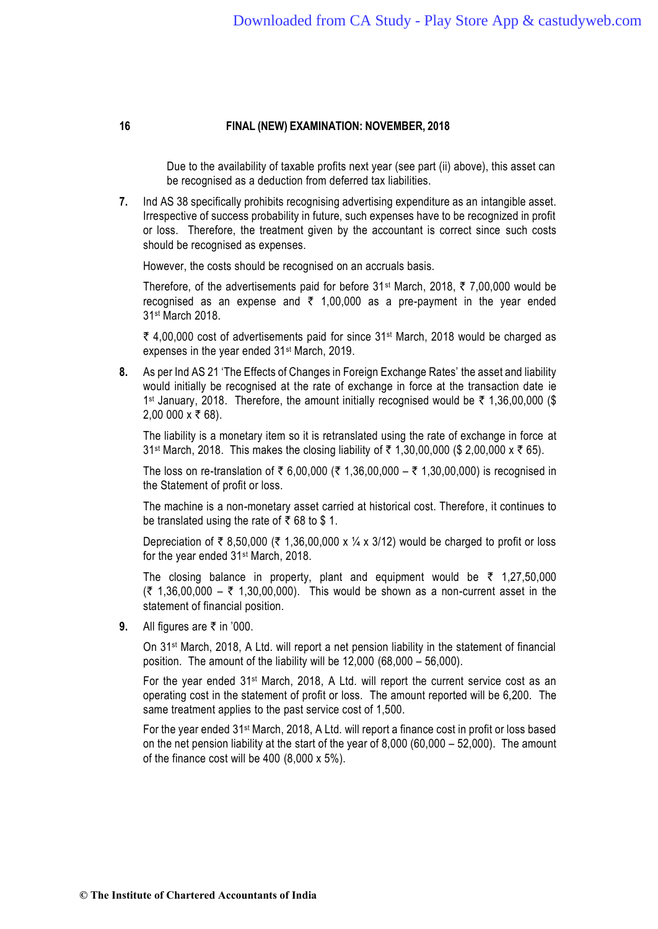Due to the availability of taxable profits next year (see part (ii) above), this asset can be recognised as a deduction from deferred tax liabilities.

**7.** Ind AS 38 specifically prohibits recognising advertising expenditure as an intangible asset. Irrespective of success probability in future, such expenses have to be recognized in profit or loss. Therefore, the treatment given by the accountant is correct since such costs should be recognised as expenses.

However, the costs should be recognised on an accruals basis.

Therefore, of the advertisements paid for before  $31^{st}$  March, 2018,  $\bar{\tau}$  7,00,000 would be recognised as an expense and  $\overline{z}$  1,00,000 as a pre-payment in the year ended 31st March 2018.

₹ 4,00,000 cost of advertisements paid for since 31<sup>st</sup> March, 2018 would be charged as expenses in the year ended 31st March, 2019.

**8.** As per Ind AS 21 'The Effects of Changes in Foreign Exchange Rates' the asset and liability would initially be recognised at the rate of exchange in force at the transaction date ie 1<sup>st</sup> January, 2018. Therefore, the amount initially recognised would be ₹ 1,36,00,000 (\$ 2,00 000 x ₹ 68).

The liability is a monetary item so it is retranslated using the rate of exchange in force at 31<sup>st</sup> March, 2018. This makes the closing liability of  $\bar{\tau}$  1,30,00,000 (\$ 2,00,000 x  $\bar{\tau}$  65).

The loss on re-translation of ₹ 6,00,000 (₹ 1,36,00,000 – ₹ 1,30,00,000) is recognised in the Statement of profit or loss.

The machine is a non-monetary asset carried at historical cost. Therefore, it continues to be translated using the rate of  $\bar{\tau}$  68 to \$ 1.

Depreciation of  $\bar{\tau}$  8,50,000 ( $\bar{\tau}$  1,36,00,000 x ¼ x 3/12) would be charged to profit or loss for the year ended 31st March, 2018.

The closing balance in property, plant and equipment would be  $\bar{\tau}$  1,27,50,000  $(3 \times 1,36,00,000 - 3 \times 1,30,00,000)$ . This would be shown as a non-current asset in the statement of financial position.

**9.** All figures are ₹ in '000.

On 31st March, 2018, A Ltd. will report a net pension liability in the statement of financial position. The amount of the liability will be 12,000 (68,000 – 56,000).

For the year ended 31st March, 2018, A Ltd. will report the current service cost as an operating cost in the statement of profit or loss. The amount reported will be 6,200. The same treatment applies to the past service cost of 1,500.

For the year ended 31st March, 2018, A Ltd. will report a finance cost in profit or loss based on the net pension liability at the start of the year of 8,000 (60,000 – 52,000). The amount of the finance cost will be 400 (8,000 x 5%).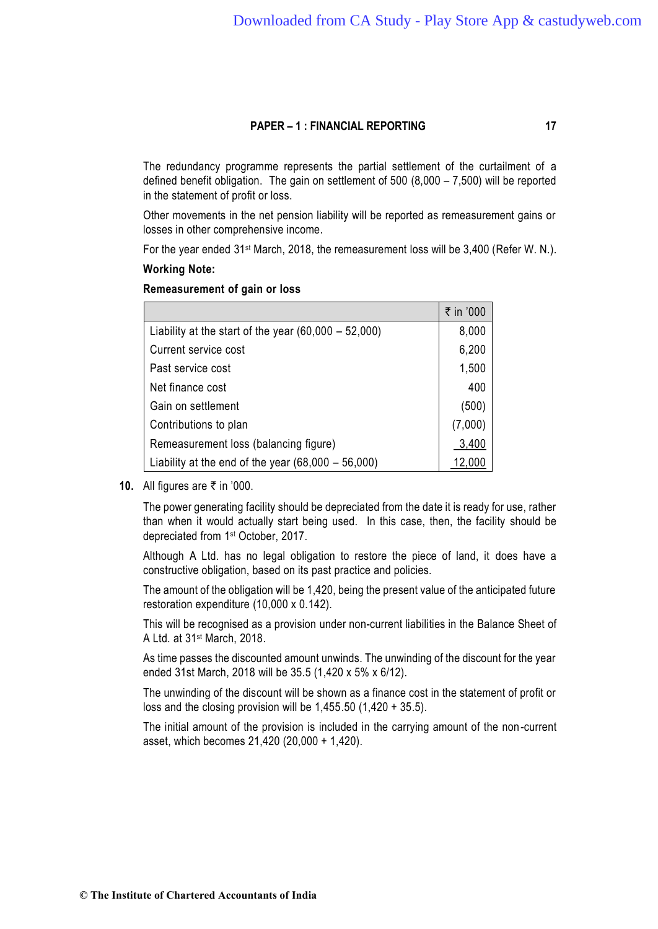The redundancy programme represents the partial settlement of the curtailment of a defined benefit obligation. The gain on settlement of 500 (8,000 – 7,500) will be reported in the statement of profit or loss.

Other movements in the net pension liability will be reported as remeasurement gains or losses in other comprehensive income.

For the year ended 31st March, 2018, the remeasurement loss will be 3,400 (Refer W. N.).

#### **Working Note:**

#### **Remeasurement of gain or loss**

|                                                        | ₹ in '000 |
|--------------------------------------------------------|-----------|
| Liability at the start of the year $(60,000 - 52,000)$ | 8,000     |
| Current service cost                                   | 6,200     |
| Past service cost                                      | 1,500     |
| Net finance cost                                       | 400       |
| Gain on settlement                                     | (500)     |
| Contributions to plan                                  | (7,000)   |
| Remeasurement loss (balancing figure)                  | 3,400     |
| Liability at the end of the year $(68,000 - 56,000)$   | 12,000    |

**10.** All figures are ₹ in '000.

The power generating facility should be depreciated from the date it is ready for use, rather than when it would actually start being used. In this case, then, the facility should be depreciated from 1 st October, 2017.

Although A Ltd. has no legal obligation to restore the piece of land, it does have a constructive obligation, based on its past practice and policies.

The amount of the obligation will be 1,420, being the present value of the anticipated future restoration expenditure (10,000 x 0.142).

This will be recognised as a provision under non-current liabilities in the Balance Sheet of A Ltd. at 31st March, 2018.

As time passes the discounted amount unwinds. The unwinding of the discount for the year ended 31st March, 2018 will be 35.5 (1,420 x 5% x 6/12).

The unwinding of the discount will be shown as a finance cost in the statement of profit or loss and the closing provision will be 1,455.50 (1,420 + 35.5).

The initial amount of the provision is included in the carrying amount of the non -current asset, which becomes 21,420 (20,000 + 1,420).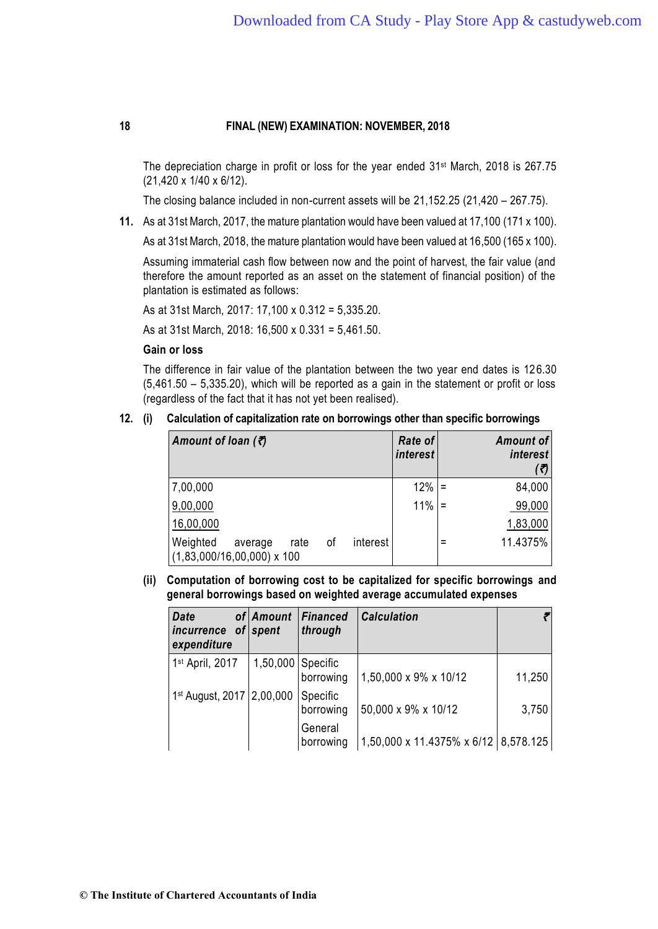The depreciation charge in profit or loss for the year ended 31st March, 2018 is 267.75 (21,420 x 1/40 x 6/12).

The closing balance included in non-current assets will be 21,152.25 (21,420 – 267.75).

**11.** As at 31st March, 2017, the mature plantation would have been valued at 17,100 (171 x 100).

As at 31st March, 2018, the mature plantation would have been valued at 16,500 (165 x 100).

Assuming immaterial cash flow between now and the point of harvest, the fair value (and therefore the amount reported as an asset on the statement of financial position) of the plantation is estimated as follows:

As at 31st March, 2017: 17,100 x 0.312 = 5,335.20.

As at 31st March, 2018: 16,500 x 0.331 = 5,461.50.

# **Gain or loss**

The difference in fair value of the plantation between the two year end dates is 12 6.30 (5,461.50 – 5,335.20), which will be reported as a gain in the statement or profit or loss (regardless of the fact that it has not yet been realised).

#### **12. (i) Calculation of capitalization rate on borrowings other than specific borrowings**

| Amount of loan $(3)$                                                          | <b>Rate of</b><br><i>interest</i> | Amount of<br><i>interest</i><br>(₹) |
|-------------------------------------------------------------------------------|-----------------------------------|-------------------------------------|
| 7,00,000                                                                      | 12%                               | 84,000                              |
| 9,00,000                                                                      | 11%                               | 99,000                              |
| 16,00,000                                                                     |                                   | 1,83,000                            |
| Weighted<br>interest<br>οf<br>rate<br>average<br>$(1,83,000/16,00,000)$ x 100 |                                   | 11.4375%                            |

**(ii) Computation of borrowing cost to be capitalized for specific borrowings and general borrowings based on weighted average accumulated expenses**

| <b>Date</b><br>incurrence<br>οf<br>expenditure | of Amount<br><i>spent</i> | <b>Financed</b><br>through | <b>Calculation</b>                   |        |
|------------------------------------------------|---------------------------|----------------------------|--------------------------------------|--------|
| 1st April, 2017                                | 1,50,000 Specific         | borrowing                  | 1,50,000 x 9% x 10/12                | 11,250 |
| 1 <sup>st</sup> August, 2017   2,00,000        |                           | Specific<br>borrowing      | 50,000 x 9% x 10/12                  | 3,750  |
|                                                |                           | General<br>borrowing       | 1,50,000 x 11.4375% x 6/12 8,578.125 |        |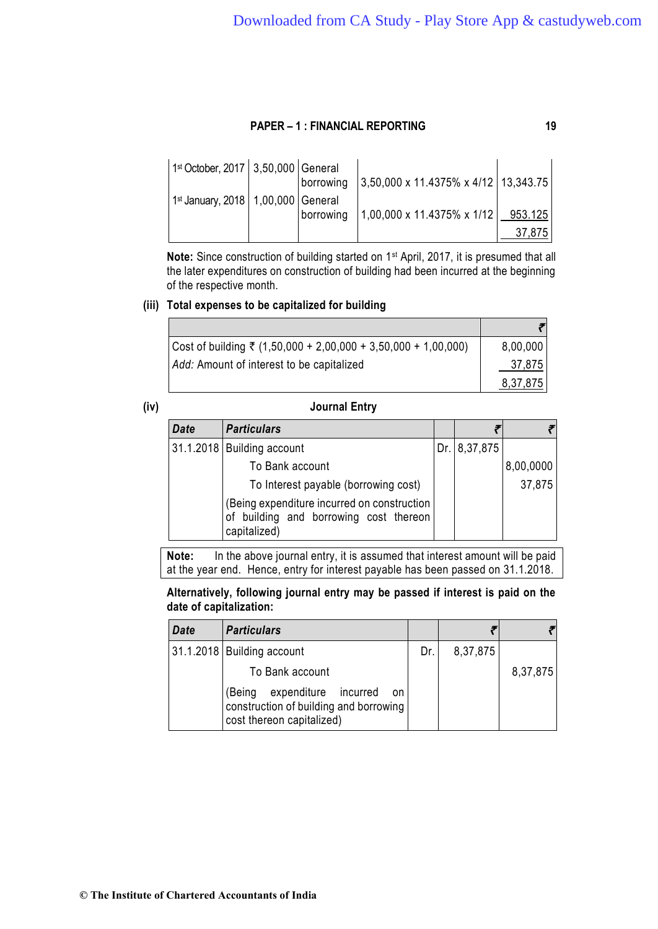| $1st October, 2017   3,50,000   General$ | borrowing | $3,50,000 \times 11.4375\% \times 4/12$ 13,343.75 |         |
|------------------------------------------|-----------|---------------------------------------------------|---------|
| $1st$ January, 2018   1,00,000   General | borrowing | $1,00,000 \times 11.4375\% \times 1/12$           | 953.125 |
|                                          |           |                                                   | 37.875  |

**Note:** Since construction of building started on 1st April, 2017, it is presumed that all the later expenditures on construction of building had been incurred at the beginning of the respective month.

#### **(iii) Total expenses to be capitalized for building**

| $\vert$ Cost of building ₹ (1,50,000 + 2,00,000 + 3,50,000 + 1,00,000) | 8,00,000 |
|------------------------------------------------------------------------|----------|
| Add: Amount of interest to be capitalized                              | 37,875   |
|                                                                        | 8,37,875 |

# **(iv) Journal Entry**

| <b>Date</b> | <b>Particulars</b>                                                                                    |              |           |
|-------------|-------------------------------------------------------------------------------------------------------|--------------|-----------|
|             | 31.1.2018 Building account                                                                            | Dr. 8,37,875 |           |
|             | To Bank account                                                                                       |              | 8,00,0000 |
|             | To Interest payable (borrowing cost)                                                                  |              | 37,875    |
|             | (Being expenditure incurred on construction<br>of building and borrowing cost thereon<br>capitalized) |              |           |

**Note:** In the above journal entry, it is assumed that interest amount will be paid at the year end. Hence, entry for interest payable has been passed on 31.1.2018.

**Alternatively, following journal entry may be passed if interest is paid on the date of capitalization:**

| <b>Date</b> | <b>Particulars</b>                                                                                          |     |          |          |
|-------------|-------------------------------------------------------------------------------------------------------------|-----|----------|----------|
|             | 31.1.2018 Building account                                                                                  | Dr. | 8,37,875 |          |
|             | To Bank account                                                                                             |     |          | 8,37,875 |
|             | expenditure incurred<br>(Being<br>on<br>construction of building and borrowing<br>cost thereon capitalized) |     |          |          |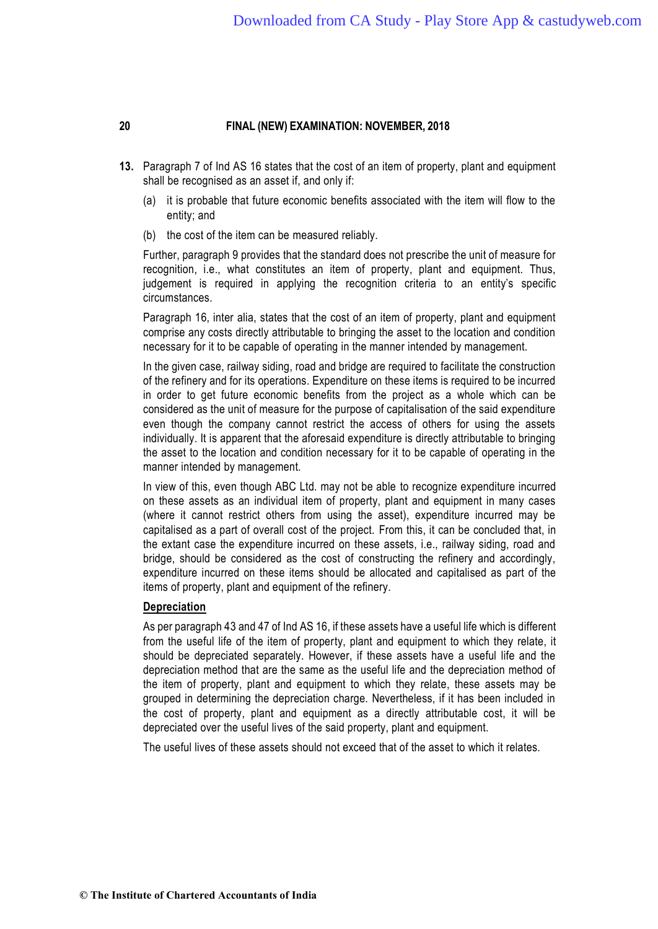- **13.** Paragraph 7 of Ind AS 16 states that the cost of an item of property, plant and equipment shall be recognised as an asset if, and only if:
	- (a) it is probable that future economic benefits associated with the item will flow to the entity; and
	- (b) the cost of the item can be measured reliably.

Further, paragraph 9 provides that the standard does not prescribe the unit of measure for recognition, i.e., what constitutes an item of property, plant and equipment. Thus, judgement is required in applying the recognition criteria to an entity's specific circumstances.

Paragraph 16, inter alia, states that the cost of an item of property, plant and equipment comprise any costs directly attributable to bringing the asset to the location and condition necessary for it to be capable of operating in the manner intended by management.

In the given case, railway siding, road and bridge are required to facilitate the construction of the refinery and for its operations. Expenditure on these items is required to be incurred in order to get future economic benefits from the project as a whole which can be considered as the unit of measure for the purpose of capitalisation of the said expenditure even though the company cannot restrict the access of others for using the assets individually. It is apparent that the aforesaid expenditure is directly attributable to bringing the asset to the location and condition necessary for it to be capable of operating in the manner intended by management.

In view of this, even though ABC Ltd. may not be able to recognize expenditure incurred on these assets as an individual item of property, plant and equipment in many cases (where it cannot restrict others from using the asset), expenditure incurred may be capitalised as a part of overall cost of the project. From this, it can be concluded that, in the extant case the expenditure incurred on these assets, i.e., railway siding, road and bridge, should be considered as the cost of constructing the refinery and accordingly, expenditure incurred on these items should be allocated and capitalised as part of the items of property, plant and equipment of the refinery.

#### **Depreciation**

As per paragraph 43 and 47 of Ind AS 16, if these assets have a useful life which is different from the useful life of the item of property, plant and equipment to which they relate, it should be depreciated separately. However, if these assets have a useful life and the depreciation method that are the same as the useful life and the depreciation method of the item of property, plant and equipment to which they relate, these assets may be grouped in determining the depreciation charge. Nevertheless, if it has been included in the cost of property, plant and equipment as a directly attributable cost, it will be depreciated over the useful lives of the said property, plant and equipment.

The useful lives of these assets should not exceed that of the asset to which it relates.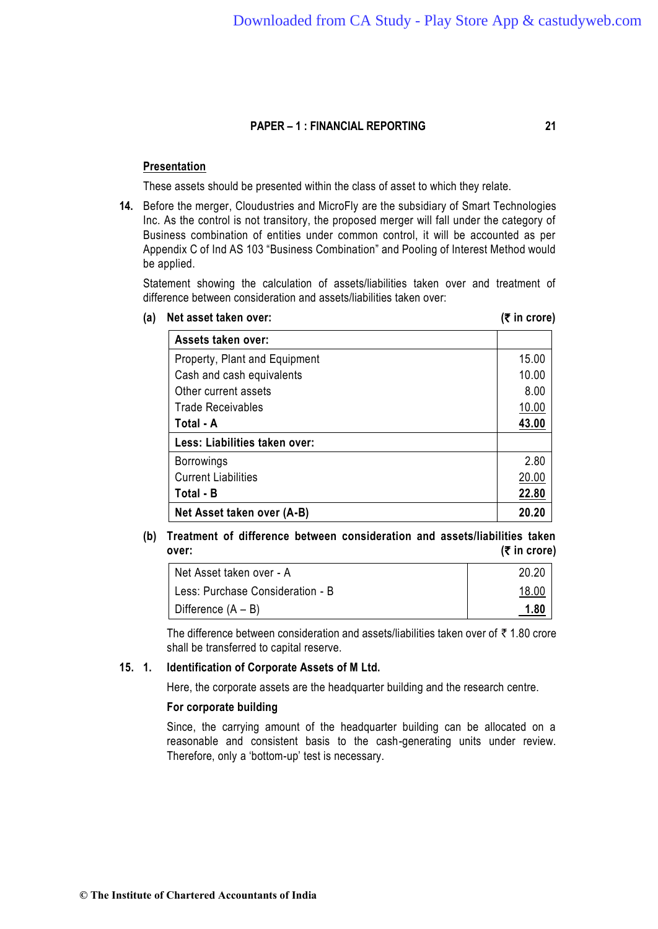### **Presentation**

These assets should be presented within the class of asset to which they relate.

**14.** Before the merger, Cloudustries and MicroFly are the subsidiary of Smart Technologies Inc. As the control is not transitory, the proposed merger will fall under the category of Business combination of entities under common control, it will be accounted as per Appendix C of Ind AS 103 "Business Combination" and Pooling of Interest Method would be applied.

Statement showing the calculation of assets/liabilities taken over and treatment of difference between consideration and assets/liabilities taken over:

**(a) Net asset taken over: (**` **in crore)**

|  | (₹ in crore) |  |
|--|--------------|--|
|  |              |  |

| Assets taken over:            |       |
|-------------------------------|-------|
| Property, Plant and Equipment | 15.00 |
| Cash and cash equivalents     | 10.00 |
| Other current assets          | 8.00  |
| <b>Trade Receivables</b>      | 10.00 |
| Total - A                     | 43.00 |
| Less: Liabilities taken over: |       |
| <b>Borrowings</b>             | 2.80  |
| <b>Current Liabilities</b>    | 20.00 |
| Total - B                     | 22.80 |
| Net Asset taken over (A-B)    | 20.20 |

# **(b) Treatment of difference between consideration and assets/liabilities taken over:** (₹ in crore)

| Net Asset taken over - A         | 20.20        |
|----------------------------------|--------------|
| Less: Purchase Consideration - B | <u>18.00</u> |
| Difference $(A - B)$             | <u>1.80</u>  |

The difference between consideration and assets/liabilities taken over of  $\bar{\tau}$  1.80 crore shall be transferred to capital reserve.

# **15. 1. Identification of Corporate Assets of M Ltd.**

Here, the corporate assets are the headquarter building and the research centre.

### **For corporate building**

Since, the carrying amount of the headquarter building can be allocated on a reasonable and consistent basis to the cash-generating units under review. Therefore, only a 'bottom-up' test is necessary.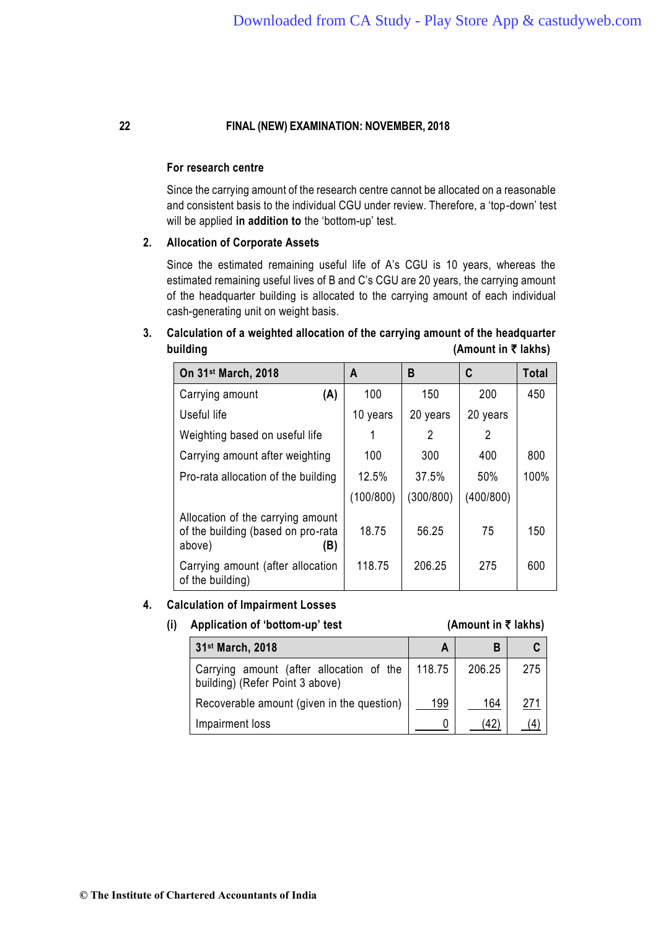#### **For research centre**

Since the carrying amount of the research centre cannot be allocated on a reasonable and consistent basis to the individual CGU under review. Therefore, a 'top-down' test will be applied **in addition to** the 'bottom-up' test.

#### **2. Allocation of Corporate Assets**

Since the estimated remaining useful life of A's CGU is 10 years, whereas the estimated remaining useful lives of B and C's CGU are 20 years, the carrying amount of the headquarter building is allocated to the carrying amount of each individual cash-generating unit on weight basis.

# **3. Calculation of a weighted allocation of the carrying amount of the headquarter building (Amount in ₹ lakhs)**

| On 31 <sup>st</sup> March, 2018                                                          | A         | B         | C         | <b>Total</b> |
|------------------------------------------------------------------------------------------|-----------|-----------|-----------|--------------|
| (A)<br>Carrying amount                                                                   | 100       | 150       | 200       | 450          |
| Useful life                                                                              | 10 years  | 20 years  | 20 years  |              |
| Weighting based on useful life                                                           |           | 2         | 2         |              |
| Carrying amount after weighting                                                          | 100       | 300       | 400       | 800          |
| Pro-rata allocation of the building                                                      | 12.5%     | 37.5%     | 50%       | 100%         |
|                                                                                          | (100/800) | (300/800) | (400/800) |              |
| Allocation of the carrying amount<br>of the building (based on pro-rata<br>above)<br>(B) | 18.75     | 56.25     | 75        | 150          |
| Carrying amount (after allocation<br>of the building)                                    | 118.75    | 206.25    | 275       | 600          |

#### **4. Calculation of Impairment Losses**

#### **(i)** Application of 'bottom-up' test  $(Amount in ₹ lakhs)$

| 31 <sup>st</sup> March, 2018                                                         | A   | B      |     |
|--------------------------------------------------------------------------------------|-----|--------|-----|
| Carrying amount (after allocation of the   118.75<br>building) (Refer Point 3 above) |     | 206.25 | 275 |
| Recoverable amount (given in the question)                                           | 199 | 164    | 271 |
| Impairment loss                                                                      |     | (42    |     |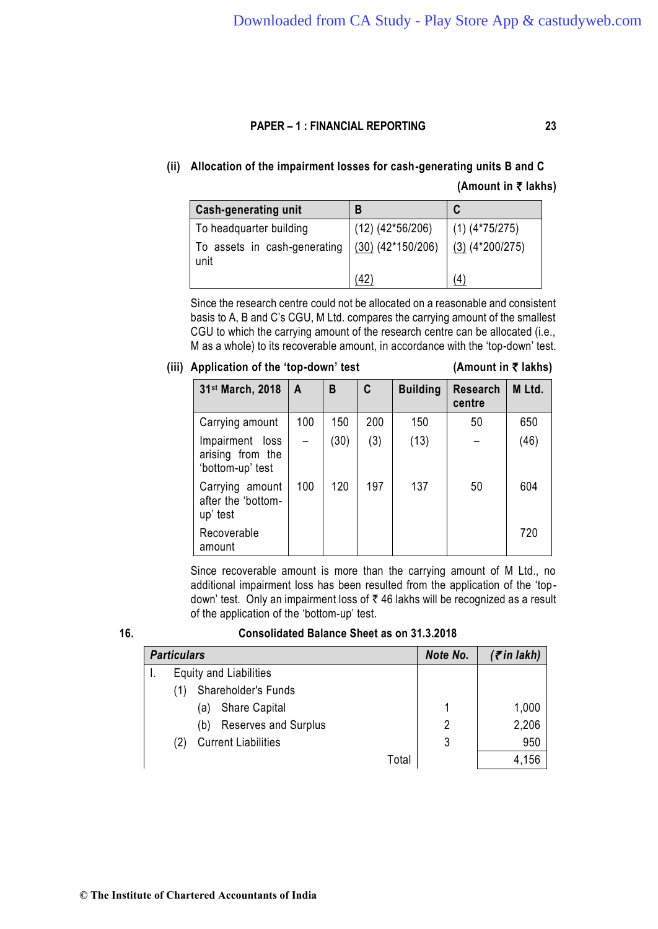# **(ii) Allocation of the impairment losses for cash-generating units B and C (Amount in** ` **lakhs)**

| <b>Cash-generating unit</b>  | B                     |                   |
|------------------------------|-----------------------|-------------------|
| To headquarter building      | $(12)$ $(42*56/206)$  | $(1)$ (4*75/275)  |
| To assets in cash-generating | $(30)$ $(42*150/206)$ | $(3)$ (4*200/275) |
| unit                         |                       | $\left( 4\right)$ |

Since the research centre could not be allocated on a reasonable and consistent basis to A, B and C's CGU, M Ltd. compares the carrying amount of the smallest CGU to which the carrying amount of the research centre can be allocated (i.e., M as a whole) to its recoverable amount, in accordance with the 'top-down' test.

# **(iii) Application of the 'top-down' test (Amount in** ` **lakhs)**

| 31 <sup>st</sup> March, 2018                            | A   | B    | C   | <b>Building</b> | <b>Research</b><br>centre | M Ltd. |
|---------------------------------------------------------|-----|------|-----|-----------------|---------------------------|--------|
| Carrying amount                                         | 100 | 150  | 200 | 150             | 50                        | 650    |
| Impairment loss<br>arising from the<br>'bottom-up' test |     | (30) | (3) | (13)            |                           | (46)   |
| Carrying amount<br>after the 'bottom-<br>up' test       | 100 | 120  | 197 | 137             | 50                        | 604    |
| Recoverable<br>amount                                   |     |      |     |                 |                           | 720    |

Since recoverable amount is more than the carrying amount of M Ltd., no additional impairment loss has been resulted from the application of the 'topdown' test. Only an impairment loss of ` 46 lakhs will be recognized as a result of the application of the 'bottom-up' test.

| ۰. | I             |
|----|---------------|
|    | ۰,<br>×<br>۰. |

# **16. Consolidated Balance Sheet as on 31.3.2018**

| <b>Particulars</b>                 |       | Note No. | $($ ₹in lakh) |
|------------------------------------|-------|----------|---------------|
| <b>Equity and Liabilities</b>      |       |          |               |
| Shareholder's Funds<br>(1)         |       |          |               |
| <b>Share Capital</b><br>a)         |       | 1        | 1,000         |
| <b>Reserves and Surplus</b><br>(b) |       | 2        | 2,206         |
| <b>Current Liabilities</b>         |       | 3        | 950           |
|                                    | Total |          | 4,156         |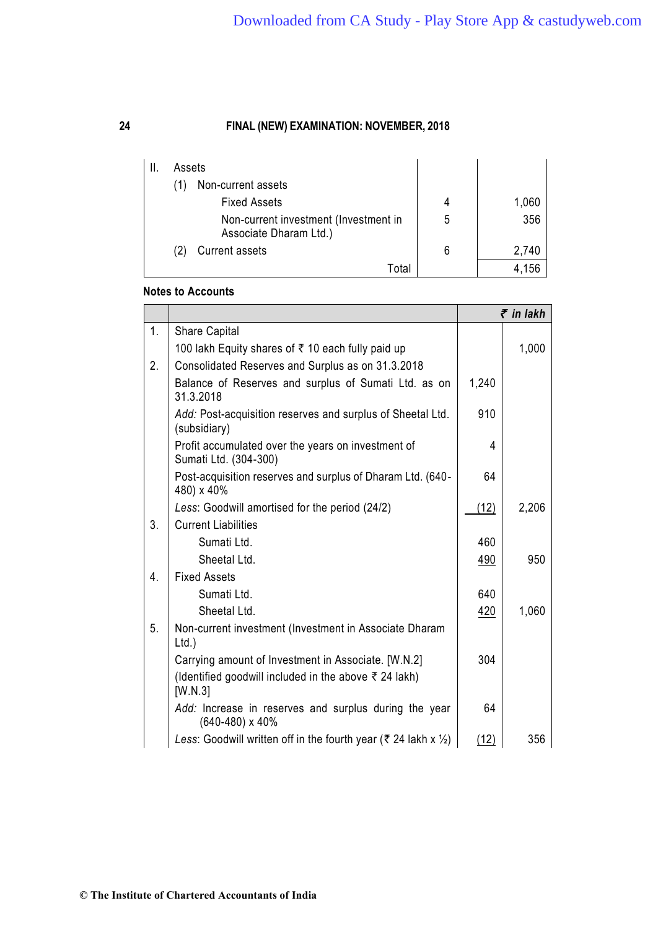| Ш. | Assets |                                                                 |   |       |
|----|--------|-----------------------------------------------------------------|---|-------|
|    |        | Non-current assets                                              |   |       |
|    |        | <b>Fixed Assets</b>                                             | 4 | 1,060 |
|    |        | Non-current investment (Investment in<br>Associate Dharam Ltd.) | 5 | 356   |
|    |        | <b>Current assets</b>                                           | 6 | 2,740 |
|    |        | Total                                                           |   | 156   |

# **Notes to Accounts**

|    |                                                                             |       | $\bar{\tau}$ in lakh |
|----|-----------------------------------------------------------------------------|-------|----------------------|
| 1. | <b>Share Capital</b>                                                        |       |                      |
|    | 100 lakh Equity shares of ₹ 10 each fully paid up                           |       | 1,000                |
| 2. | Consolidated Reserves and Surplus as on 31.3.2018                           |       |                      |
|    | Balance of Reserves and surplus of Sumati Ltd. as on<br>31.3.2018           | 1,240 |                      |
|    | Add: Post-acquisition reserves and surplus of Sheetal Ltd.<br>(subsidiary)  | 910   |                      |
|    | Profit accumulated over the years on investment of<br>Sumati Ltd. (304-300) | 4     |                      |
|    | Post-acquisition reserves and surplus of Dharam Ltd. (640-<br>480) x 40%    | 64    |                      |
|    | Less: Goodwill amortised for the period (24/2)                              | (12)  | 2,206                |
| 3. | <b>Current Liabilities</b>                                                  |       |                      |
|    | Sumati Ltd.                                                                 | 460   |                      |
|    | Sheetal Ltd.                                                                | 490   | 950                  |
| 4. | <b>Fixed Assets</b>                                                         |       |                      |
|    | Sumati Ltd.                                                                 | 640   |                      |
|    | Sheetal Ltd.                                                                | 420   | 1,060                |
| 5. | Non-current investment (Investment in Associate Dharam<br>Ltd.              |       |                      |
|    | Carrying amount of Investment in Associate. [W.N.2]                         | 304   |                      |
|    | (Identified goodwill included in the above ₹ 24 lakh)<br>[W.N.3]            |       |                      |
|    | Add: Increase in reserves and surplus during the year<br>(640-480) x 40%    | 64    |                      |
|    | Less: Goodwill written off in the fourth year (₹ 24 lakh x $\frac{1}{2}$ )  | (12)  | 356                  |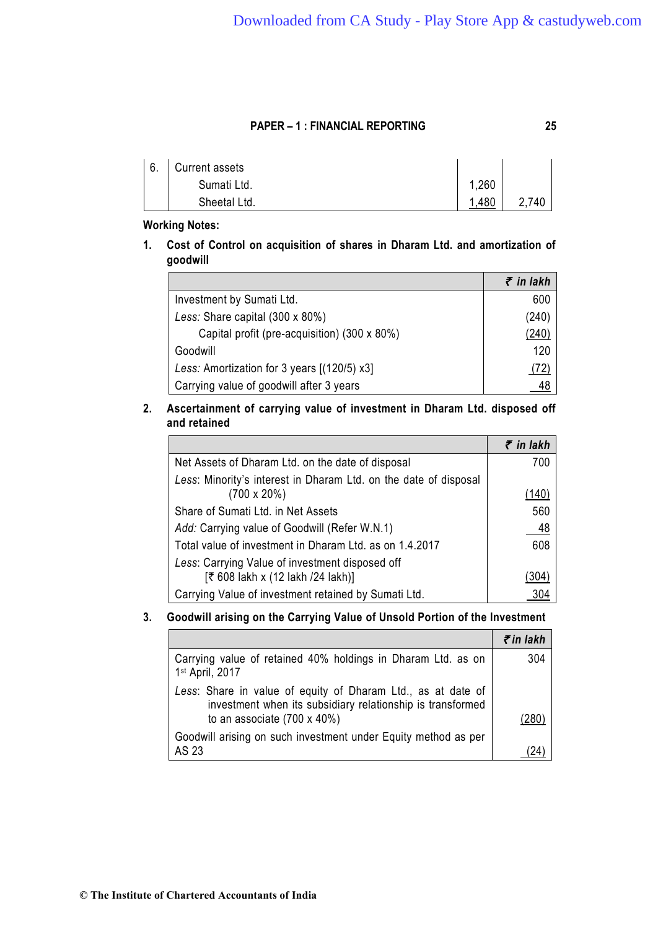| 6. | Current assets |      |       |
|----|----------------|------|-------|
|    | Sumati Ltd.    | ,260 |       |
|    | Sheetal Ltd.   | .480 | 2,740 |

# **Working Notes:**

**1. Cost of Control on acquisition of shares in Dharam Ltd. and amortization of goodwill**

|                                              | $\bar{\tau}$ in lakh |
|----------------------------------------------|----------------------|
| Investment by Sumati Ltd.                    | 600                  |
| Less: Share capital (300 x 80%)              | (240)                |
| Capital profit (pre-acquisition) (300 x 80%) | (240)                |
| Goodwill                                     | 120                  |
| Less: Amortization for 3 years [(120/5) x3]  | 72)                  |
| Carrying value of goodwill after 3 years     |                      |

# **2. Ascertainment of carrying value of investment in Dharam Ltd. disposed off and retained**

|                                                                  | $\bar{\tau}$ in lakh |
|------------------------------------------------------------------|----------------------|
| Net Assets of Dharam Ltd. on the date of disposal                | 700                  |
| Less: Minority's interest in Dharam Ltd. on the date of disposal |                      |
| $(700 \times 20\%)$                                              | <u>(140)</u>         |
| Share of Sumati Ltd. in Net Assets                               | 560                  |
| Add: Carrying value of Goodwill (Refer W.N.1)                    | 48                   |
| Total value of investment in Dharam Ltd. as on 1.4.2017          | 608                  |
| Less: Carrying Value of investment disposed off                  |                      |
| [₹ 608 lakh x (12 lakh /24 lakh)]                                | 304)                 |
| Carrying Value of investment retained by Sumati Ltd.             |                      |

# **3. Goodwill arising on the Carrying Value of Unsold Portion of the Investment**

|                                                                                                                                                                   | ₹in lakh |
|-------------------------------------------------------------------------------------------------------------------------------------------------------------------|----------|
| Carrying value of retained 40% holdings in Dharam Ltd. as on<br>1st April, 2017                                                                                   | 304      |
| Less: Share in value of equity of Dharam Ltd., as at date of<br>investment when its subsidiary relationship is transformed<br>to an associate $(700 \times 40\%)$ | /280     |
| Goodwill arising on such investment under Equity method as per<br>AS 23                                                                                           |          |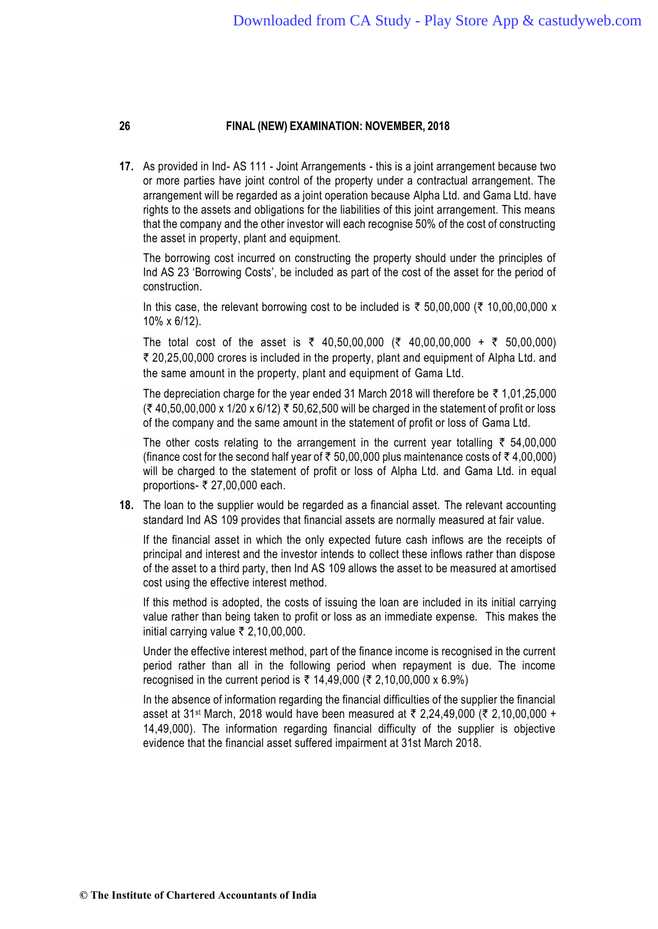**17.** As provided in Ind- AS 111 - Joint Arrangements - this is a joint arrangement because two or more parties have joint control of the property under a contractual arrangement. The arrangement will be regarded as a joint operation because Alpha Ltd. and Gama Ltd. have rights to the assets and obligations for the liabilities of this joint arrangement. This means that the company and the other investor will each recognise 50% of the cost of constructing the asset in property, plant and equipment.

The borrowing cost incurred on constructing the property should under the principles of Ind AS 23 'Borrowing Costs', be included as part of the cost of the asset for the period of construction.

In this case, the relevant borrowing cost to be included is  $\bar{\tau}$  50,00,000 ( $\bar{\tau}$  10,00,00,000 x 10% x 6/12).

The total cost of the asset is  $\overline{\zeta}$  40,50,00,000 ( $\overline{\zeta}$  40,00,00,000 +  $\overline{\zeta}$  50,00,000) ` 20,25,00,000 crores is included in the property, plant and equipment of Alpha Ltd. and the same amount in the property, plant and equipment of Gama Ltd.

The depreciation charge for the year ended 31 March 2018 will therefore be  $\bar{\tau}$  1,01,25,000  $($ ₹ 40,50,00,000 x 1/20 x 6/12) ₹ 50,62,500 will be charged in the statement of profit or loss of the company and the same amount in the statement of profit or loss of Gama Ltd.

The other costs relating to the arrangement in the current year totalling  $\bar{\tau}$  54,00,000 (finance cost for the second half year of  $\bar{\tau}$  50,00,000 plus maintenance costs of  $\bar{\tau}$  4,00,000) will be charged to the statement of profit or loss of Alpha Ltd. and Gama Ltd. in equal proportions-  $\overline{\xi}$  27,00,000 each.

**18.** The loan to the supplier would be regarded as a financial asset. The relevant accounting standard Ind AS 109 provides that financial assets are normally measured at fair value.

If the financial asset in which the only expected future cash inflows are the receipts of principal and interest and the investor intends to collect these inflows rather than dispose of the asset to a third party, then Ind AS 109 allows the asset to be measured at amortised cost using the effective interest method.

If this method is adopted, the costs of issuing the loan are included in its initial carrying value rather than being taken to profit or loss as an immediate expense. This makes the initial carrying value  $\bar{\tau}$  2,10,00,000.

Under the effective interest method, part of the finance income is recognised in the current period rather than all in the following period when repayment is due. The income recognised in the current period is ₹ 14,49,000 (₹ 2,10,00,000 x 6.9%)

In the absence of information regarding the financial difficulties of the supplier the financial asset at 31<sup>st</sup> March, 2018 would have been measured at ₹ 2,24,49,000 (₹ 2,10,00,000 + 14,49,000). The information regarding financial difficulty of the supplier is objective evidence that the financial asset suffered impairment at 31st March 2018.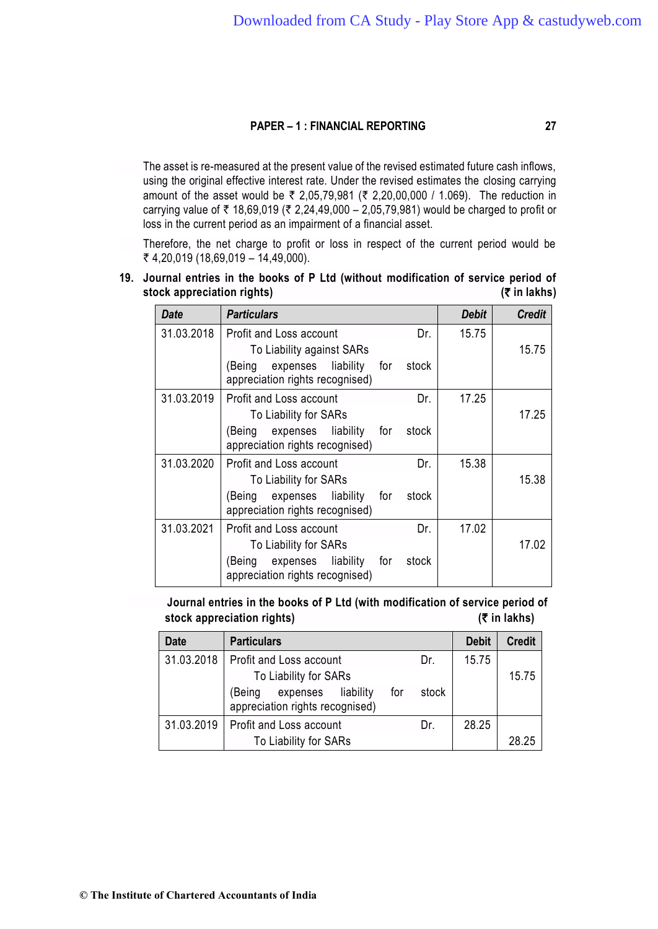The asset is re-measured at the present value of the revised estimated future cash inflows, using the original effective interest rate. Under the revised estimates the closing carrying amount of the asset would be ₹ 2,05,79,981 (₹ 2,20,00,000 / 1.069). The reduction in carrying value of ₹ 18,69,019 (₹ 2,24,49,000 – 2,05,79,981) would be charged to profit or loss in the current period as an impairment of a financial asset.

Therefore, the net charge to profit or loss in respect of the current period would be ₹ 4,20,019 (18,69,019 – 14,49,000).

**19. Journal entries in the books of P Ltd (without modification of service period of stock appreciation rights) (**` **in lakhs)** 

| Date       | <b>Particulars</b>                                                           | Debit | <b>Credit</b> |
|------------|------------------------------------------------------------------------------|-------|---------------|
| 31.03.2018 | Profit and Loss account<br>Dr.                                               | 15.75 |               |
|            | To Liability against SARs                                                    |       | 15.75         |
|            | (Being expenses liability for stock<br>appreciation rights recognised)       |       |               |
| 31.03.2019 | Profit and Loss account<br>Dr.                                               | 17.25 |               |
|            | To Liability for SARs                                                        |       | 17.25         |
|            | (Being expenses liability<br>stock<br>for<br>appreciation rights recognised) |       |               |
| 31.03.2020 | Profit and Loss account<br>Dr.                                               | 15.38 |               |
|            | To Liability for SARs                                                        |       | 15.38         |
|            | (Being expenses liability<br>for<br>stock<br>appreciation rights recognised) |       |               |
| 31.03.2021 | Profit and Loss account<br>Dr.                                               | 17.02 |               |
|            | To Liability for SARs                                                        |       | 17.02         |
|            | (Being expenses liability<br>stock<br>for<br>appreciation rights recognised) |       |               |

**Journal entries in the books of P Ltd (with modification of service period of stock appreciation rights) (**` **in lakhs)**

| <b>Date</b> | <b>Particulars</b>                                                     |       | <b>Debit</b> | <b>Credit</b> |
|-------------|------------------------------------------------------------------------|-------|--------------|---------------|
| 31.03.2018  | Profit and Loss account                                                | Dr.   | 15.75        |               |
|             | To Liability for SARs                                                  |       |              | 15.75         |
|             | expenses liability<br>for<br>(Being<br>appreciation rights recognised) | stock |              |               |
| 31.03.2019  | Profit and Loss account                                                | Dr.   | 28.25        |               |
|             | To Liability for SARs                                                  |       |              | 28.25         |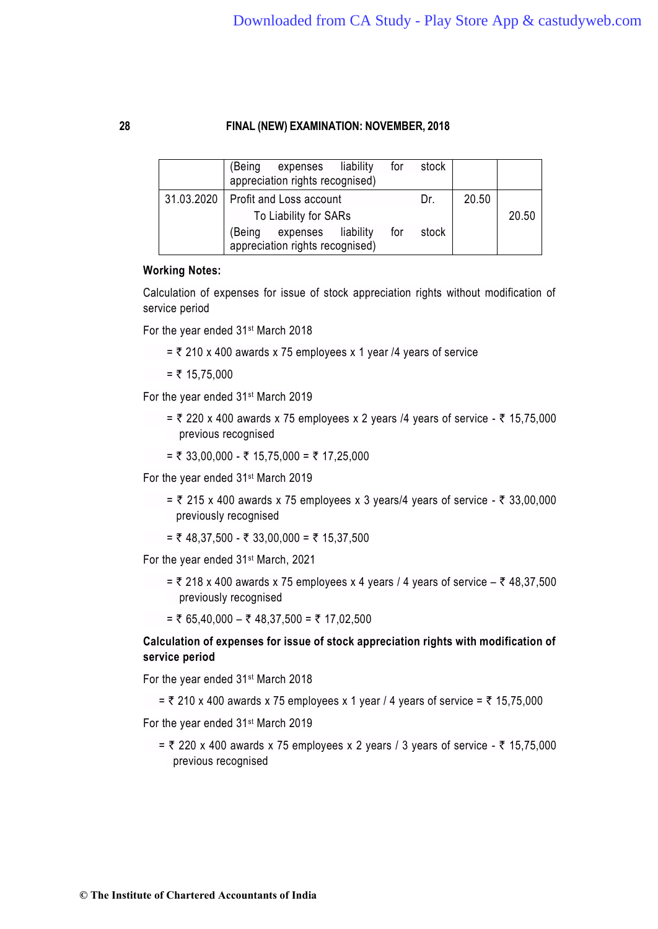|  | expenses liability<br>(Being<br>appreciation rights recognised) | for | stock |       |       |
|--|-----------------------------------------------------------------|-----|-------|-------|-------|
|  | 31.03.2020   Profit and Loss account<br>To Liability for SARs   |     | Dr.   | 20.50 | 20.50 |
|  | expenses liability<br>(Being<br>appreciation rights recognised) | for | stock |       |       |

#### **Working Notes:**

Calculation of expenses for issue of stock appreciation rights without modification of service period

For the year ended 31st March 2018

 $=$  ₹ 210 x 400 awards x 75 employees x 1 year /4 years of service

 $=$  ₹ 15,75,000

For the year ended 31st March 2019

- =  $\overline{\tau}$  220 x 400 awards x 75 employees x 2 years /4 years of service  $\overline{\tau}$  15,75,000 previous recognised
- $= ₹ 33,00,000 ₹ 15,75,000 = ₹ 17,25,000$

For the year ended 31st March 2019

- =  $\overline{\zeta}$  215 x 400 awards x 75 employees x 3 years/4 years of service  $\overline{\zeta}$  33,00,000 previously recognised
- $=$  ₹ 48,37,500 ₹ 33,00,000 = ₹ 15,37,500

For the year ended 31st March, 2021

=  $\overline{z}$  218 x 400 awards x 75 employees x 4 years / 4 years of service –  $\overline{z}$  48,37,500 previously recognised

 $=$  ₹ 65,40,000 – ₹ 48,37,500 = ₹ 17,02,500

# **Calculation of expenses for issue of stock appreciation rights with modification of service period**

For the year ended 31st March 2018

=  $\overline{z}$  210 x 400 awards x 75 employees x 1 year / 4 years of service =  $\overline{z}$  15,75,000

For the year ended 31st March 2019

=  $\overline{z}$  220 x 400 awards x 75 employees x 2 years / 3 years of service -  $\overline{z}$  15,75,000 previous recognised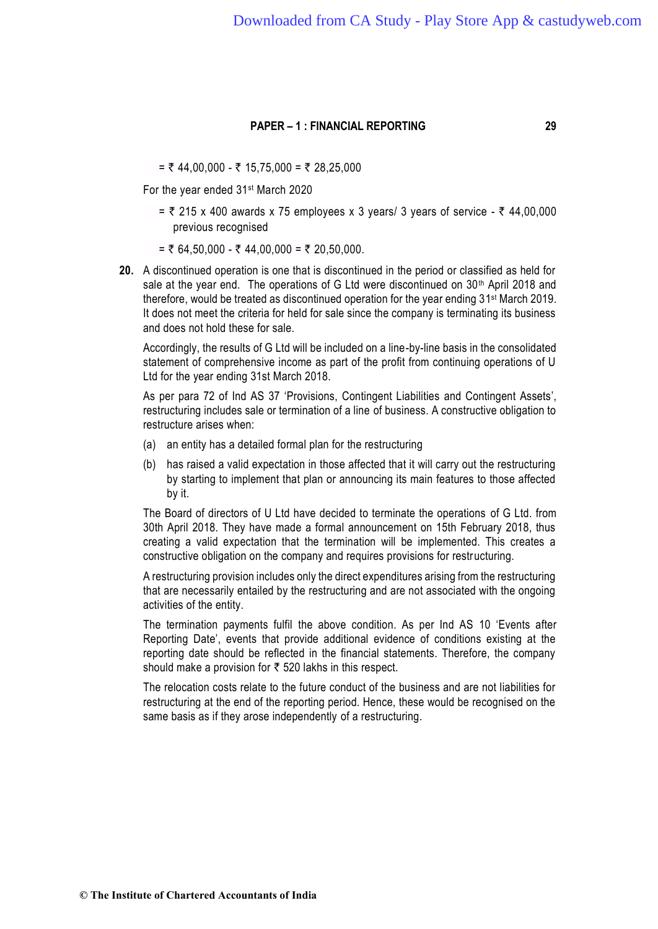$= ₹ 44,00,000 - ₹ 15,75,000 = ₹ 28,25,000$ 

For the year ended 31st March 2020

- $=$  ₹ 215 x 400 awards x 75 employees x 3 years/ 3 years of service ₹ 44,00,000 previous recognised
- $= ₹ 64,50,000 ₹ 44,00,000 = ₹ 20,50,000.$
- **20.** A discontinued operation is one that is discontinued in the period or classified as held for sale at the year end. The operations of G Ltd were discontinued on 30<sup>th</sup> April 2018 and therefore, would be treated as discontinued operation for the year ending 31<sup>st</sup> March 2019. It does not meet the criteria for held for sale since the company is terminating its business and does not hold these for sale.

Accordingly, the results of G Ltd will be included on a line-by-line basis in the consolidated statement of comprehensive income as part of the profit from continuing operations of U Ltd for the year ending 31st March 2018.

As per para 72 of Ind AS 37 'Provisions, Contingent Liabilities and Contingent Assets', restructuring includes sale or termination of a line of business. A constructive obligation to restructure arises when:

- (a) an entity has a detailed formal plan for the restructuring
- (b) has raised a valid expectation in those affected that it will carry out the restructuring by starting to implement that plan or announcing its main features to those affected by it.

The Board of directors of U Ltd have decided to terminate the operations of G Ltd. from 30th April 2018. They have made a formal announcement on 15th February 2018, thus creating a valid expectation that the termination will be implemented. This creates a constructive obligation on the company and requires provisions for restructuring.

A restructuring provision includes only the direct expenditures arising from the restructuring that are necessarily entailed by the restructuring and are not associated with the ongoing activities of the entity.

The termination payments fulfil the above condition. As per Ind AS 10 'Events after Reporting Date', events that provide additional evidence of conditions existing at the reporting date should be reflected in the financial statements. Therefore, the company should make a provision for  $\bar{\tau}$  520 lakhs in this respect.

The relocation costs relate to the future conduct of the business and are not liabilities for restructuring at the end of the reporting period. Hence, these would be recognised on the same basis as if they arose independently of a restructuring.